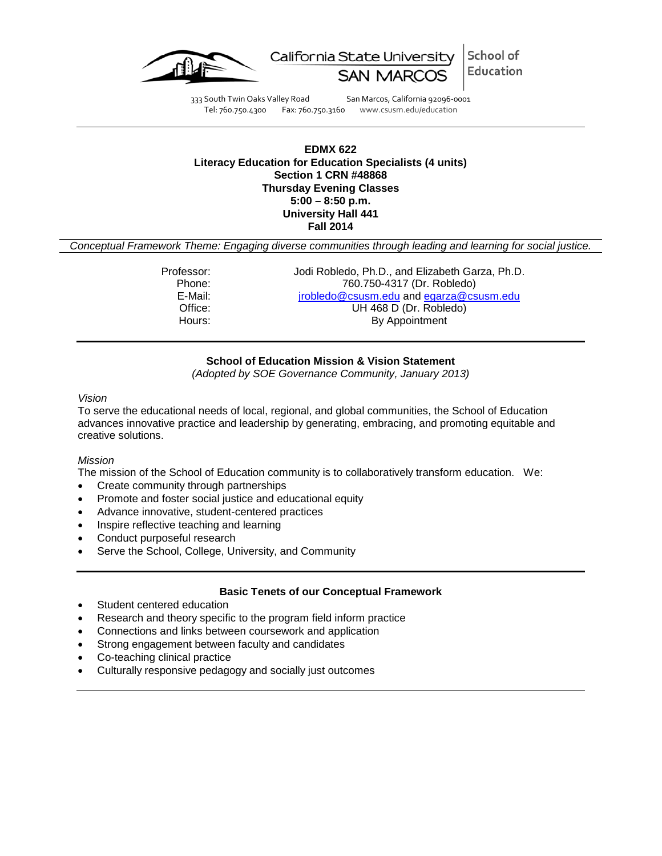

School of California State University Education

333 South Twin Oaks Valley Road San Marcos, California 92096-0001 Tel: 760.750.4300 Fax: 760.750.3160 www.csusm.edu/education

## **EDMX 622 Literacy Education for Education Specialists (4 units) Section 1 CRN #48868 Thursday Evening Classes 5:00 – 8:50 p.m. University Hall 441 Fall 2014**

*Conceptual Framework Theme: Engaging diverse communities through leading and learning for social justice.*

Professor: Jodi Robledo, Ph.D., and Elizabeth Garza, Ph.D. Phone: 760.750-4317 (Dr. Robledo) E-Mail: inchedo@csusm.edu and [egarza@csusm.edu](mailto:egarza@csusm.edu)<br>Office: UH468 D (Dr. Robledo) Office: UH 468 D (Dr. Robledo)<br>
Hours: By Appointment By Appointment

**School of Education Mission & Vision Statement**

*(Adopted by SOE Governance Community, January 2013)*

## *Vision*

To serve the educational needs of local, regional, and global communities, the School of Education advances innovative practice and leadership by generating, embracing, and promoting equitable and creative solutions.

## *Mission*

The mission of the School of Education community is to collaboratively transform education. We:

- Create community through partnerships
- Promote and foster social justice and educational equity
- Advance innovative, student-centered practices
- Inspire reflective teaching and learning
- Conduct purposeful research
- Serve the School, College, University, and Community

## **Basic Tenets of our Conceptual Framework**

- Student centered education
- Research and theory specific to the program field inform practice
- Connections and links between coursework and application
- Strong engagement between faculty and candidates
- Co-teaching clinical practice
- Culturally responsive pedagogy and socially just outcomes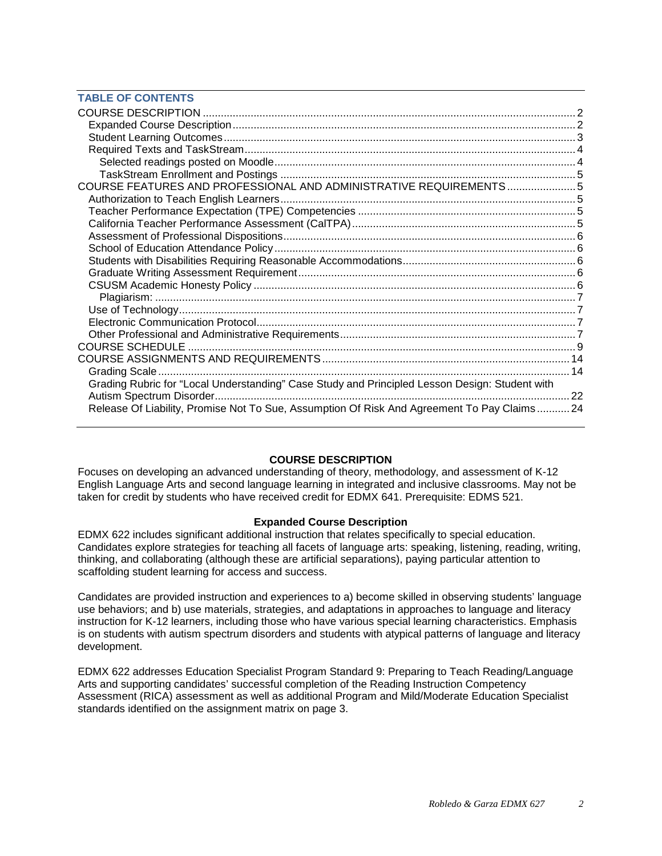## **TABLE OF CONTENTS**

| COURSE FEATURES AND PROFESSIONAL AND ADMINISTRATIVE REQUIREMENTS5                              |  |
|------------------------------------------------------------------------------------------------|--|
|                                                                                                |  |
|                                                                                                |  |
|                                                                                                |  |
|                                                                                                |  |
|                                                                                                |  |
|                                                                                                |  |
|                                                                                                |  |
|                                                                                                |  |
|                                                                                                |  |
|                                                                                                |  |
|                                                                                                |  |
|                                                                                                |  |
|                                                                                                |  |
|                                                                                                |  |
|                                                                                                |  |
| Grading Rubric for "Local Understanding" Case Study and Principled Lesson Design: Student with |  |
|                                                                                                |  |
| Release Of Liability, Promise Not To Sue, Assumption Of Risk And Agreement To Pay Claims 24    |  |

## **COURSE DESCRIPTION**

<span id="page-1-0"></span>Focuses on developing an advanced understanding of theory, methodology, and assessment of K-12 English Language Arts and second language learning in integrated and inclusive classrooms. May not be taken for credit by students who have received credit for EDMX 641. Prerequisite: EDMS 521.

## **Expanded Course Description**

<span id="page-1-1"></span>EDMX 622 includes significant additional instruction that relates specifically to special education. Candidates explore strategies for teaching all facets of language arts: speaking, listening, reading, writing, thinking, and collaborating (although these are artificial separations), paying particular attention to scaffolding student learning for access and success.

Candidates are provided instruction and experiences to a) become skilled in observing students' language use behaviors; and b) use materials, strategies, and adaptations in approaches to language and literacy instruction for K-12 learners, including those who have various special learning characteristics. Emphasis is on students with autism spectrum disorders and students with atypical patterns of language and literacy development.

<span id="page-1-2"></span>EDMX 622 addresses Education Specialist Program Standard 9: Preparing to Teach Reading/Language Arts and supporting candidates' successful completion of the Reading Instruction Competency Assessment (RICA) assessment as well as additional Program and Mild/Moderate Education Specialist standards identified on the assignment matrix on page 3.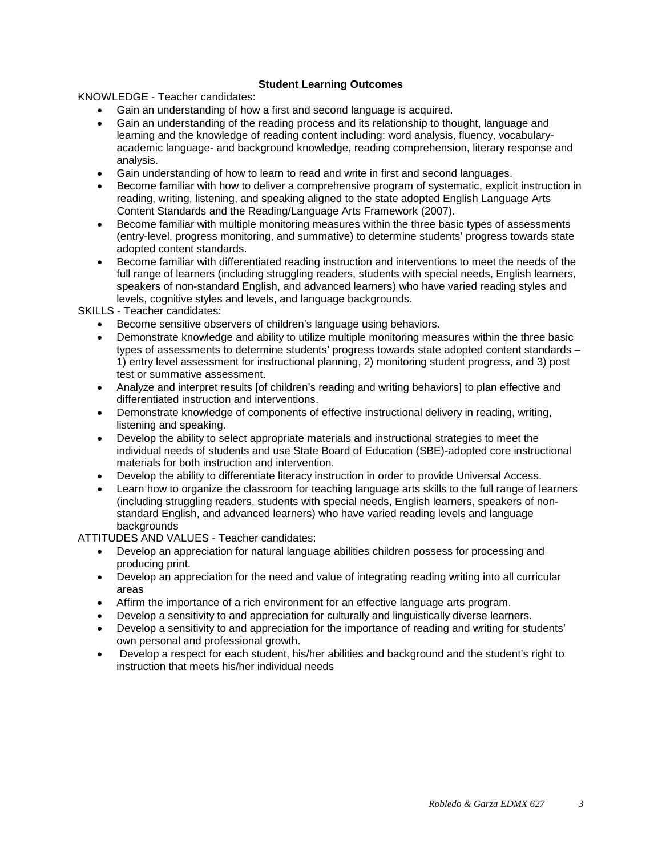## **Student Learning Outcomes**

KNOWLEDGE - Teacher candidates:

- Gain an understanding of how a first and second language is acquired.
- Gain an understanding of the reading process and its relationship to thought, language and learning and the knowledge of reading content including: word analysis, fluency, vocabularyacademic language- and background knowledge, reading comprehension, literary response and analysis.
- Gain understanding of how to learn to read and write in first and second languages.
- Become familiar with how to deliver a comprehensive program of systematic, explicit instruction in reading, writing, listening, and speaking aligned to the state adopted English Language Arts Content Standards and the Reading/Language Arts Framework (2007).
- Become familiar with multiple monitoring measures within the three basic types of assessments (entry-level, progress monitoring, and summative) to determine students' progress towards state adopted content standards.
- Become familiar with differentiated reading instruction and interventions to meet the needs of the full range of learners (including struggling readers, students with special needs, English learners, speakers of non-standard English, and advanced learners) who have varied reading styles and levels, cognitive styles and levels, and language backgrounds.

SKILLS - Teacher candidates:

- Become sensitive observers of children's language using behaviors.
- Demonstrate knowledge and ability to utilize multiple monitoring measures within the three basic types of assessments to determine students' progress towards state adopted content standards – 1) entry level assessment for instructional planning, 2) monitoring student progress, and 3) post test or summative assessment.
- Analyze and interpret results [of children's reading and writing behaviors] to plan effective and differentiated instruction and interventions.
- Demonstrate knowledge of components of effective instructional delivery in reading, writing, listening and speaking.
- Develop the ability to select appropriate materials and instructional strategies to meet the individual needs of students and use State Board of Education (SBE)-adopted core instructional materials for both instruction and intervention.
- Develop the ability to differentiate literacy instruction in order to provide Universal Access.
- Learn how to organize the classroom for teaching language arts skills to the full range of learners (including struggling readers, students with special needs, English learners, speakers of nonstandard English, and advanced learners) who have varied reading levels and language backgrounds

ATTITUDES AND VALUES - Teacher candidates:

- Develop an appreciation for natural language abilities children possess for processing and producing print.
- Develop an appreciation for the need and value of integrating reading writing into all curricular areas
- Affirm the importance of a rich environment for an effective language arts program.
- Develop a sensitivity to and appreciation for culturally and linguistically diverse learners.
- Develop a sensitivity to and appreciation for the importance of reading and writing for students' own personal and professional growth.
- <span id="page-2-0"></span>• Develop a respect for each student, his/her abilities and background and the student's right to instruction that meets his/her individual needs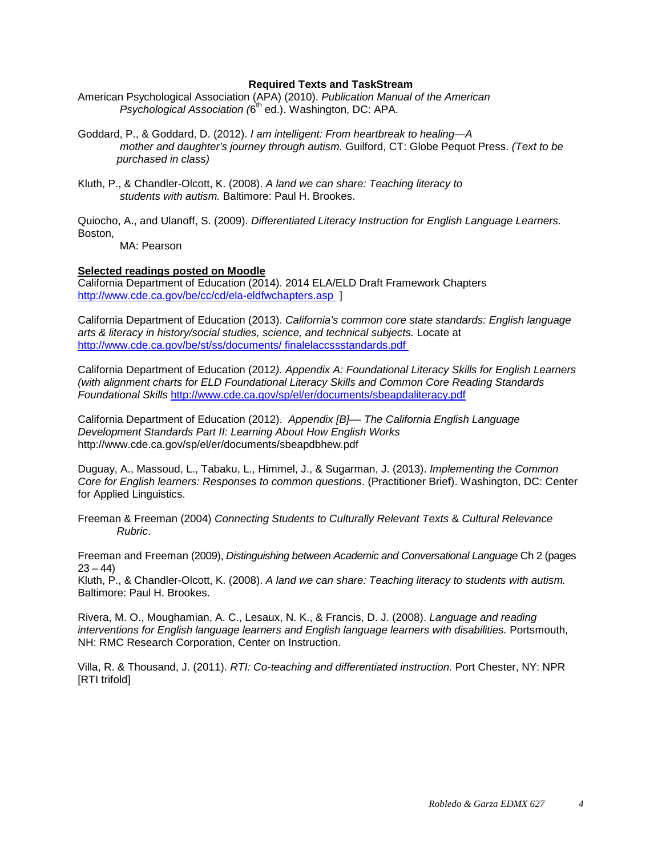#### **Required Texts and TaskStream**

- American Psychological Association (APA) (2010). *Publication Manual of the American Psychological Association (6<sup>th</sup> ed.)*. Washington, DC: APA.
- Goddard, P., & Goddard, D. (2012). *I am intelligent: From heartbreak to healing—A mother and daughter's journey through autism.* Guilford, CT: Globe Pequot Press. *(Text to be purchased in class)*
- Kluth, P., & Chandler-Olcott, K. (2008). *A land we can share: Teaching literacy to students with autism.* Baltimore: Paul H. Brookes.

Quiocho, A., and Ulanoff, S. (2009). *Differentiated Literacy Instruction for English Language Learners.*  Boston,

MA: Pearson

## <span id="page-3-0"></span>**Selected readings posted on Moodle**

California Department of Education (2014). 2014 ELA/ELD Draft Framework Chapters <http://www.cde.ca.gov/be/cc/cd/ela-eldfwchapters.asp>1

California Department of Education (2013). *California's common core state standards: English language arts & literacy in history/social studies, science, and technical subjects.* Locate at [http://www.cde.ca.gov/be/st/ss/documents/ finalelaccssstandards.pdf](http://www.cde.ca.gov/be/st/ss/documents/%20finalelaccssstandards.pdf) 

California Department of Education (2012*). Appendix A: Foundational Literacy Skills for English Learners (with alignment charts for ELD Foundational Literacy Skills and Common Core Reading Standards Foundational Skills* <http://www.cde.ca.gov/sp/el/er/documents/sbeapdaliteracy.pdf>

California Department of Education (2012). *Appendix [B]–– The California English Language Development Standards Part II: Learning About How English Works*  http://www.cde.ca.gov/sp/el/er/documents/sbeapdbhew.pdf

Duguay, A., Massoud, L., Tabaku, L., Himmel, J., & Sugarman, J. (2013). *Implementing the Common Core for English learners: Responses to common questions*. (Practitioner Brief). Washington, DC: Center for Applied Linguistics.

Freeman & Freeman (2004) *Connecting Students to Culturally Relevant Texts* & *Cultural Relevance Rubric*.

Freeman and Freeman (2009), *Distinguishing between Academic and Conversational Language* Ch 2 (pages  $23 - 44$ 

Kluth, P., & Chandler-Olcott, K. (2008). *A land we can share: Teaching literacy to students with autism.*  Baltimore: Paul H. Brookes.

Rivera, M. O., Moughamian, A. C., Lesaux, N. K., & Francis, D. J. (2008). *Language and reading interventions for English language learners and English language learners with disabilities.* Portsmouth, NH: RMC Research Corporation, Center on Instruction.

<span id="page-3-1"></span>Villa, R. & Thousand, J. (2011). *RTI: Co-teaching and differentiated instruction.* Port Chester, NY: NPR [RTI trifold]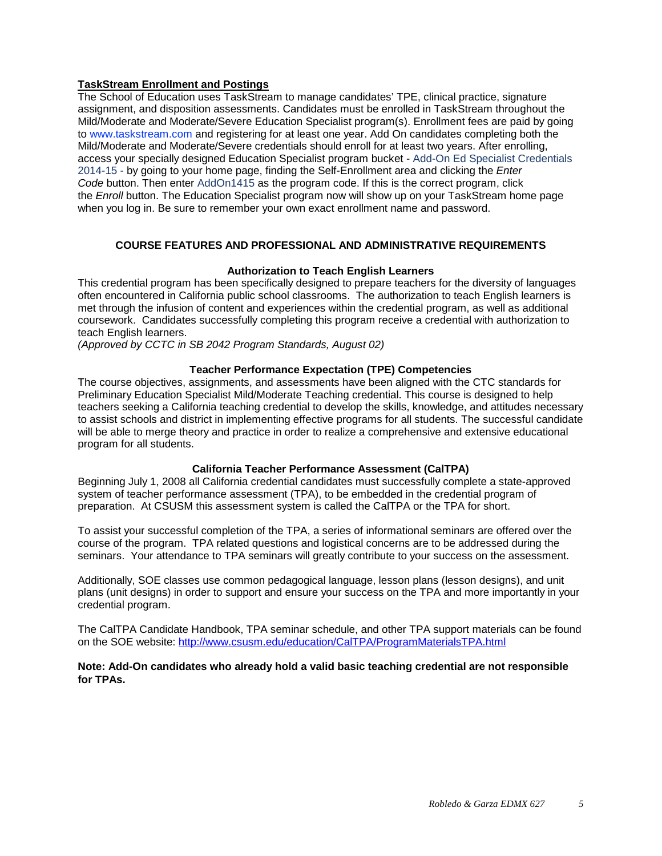## **TaskStream Enrollment and Postings**

The School of Education uses TaskStream to manage candidates' TPE, clinical practice, signature assignment, and disposition assessments. Candidates must be enrolled in TaskStream throughout the Mild/Moderate and Moderate/Severe Education Specialist program(s). Enrollment fees are paid by going to [www.taskstream.com](http://www.taskstrem.com/) and registering for at least one year. Add On candidates completing both the Mild/Moderate and Moderate/Severe credentials should enroll for at least two years. After enrolling, access your specially designed Education Specialist program bucket - Add-On Ed Specialist Credentials 2014-15 - by going to your home page, finding the Self-Enrollment area and clicking the *Enter Code* button. Then enter AddOn1415 as the program code. If this is the correct program, click the *Enroll* button. The Education Specialist program now will show up on your TaskStream home page when you log in. Be sure to remember your own exact enrollment name and password.

## **COURSE FEATURES AND PROFESSIONAL AND ADMINISTRATIVE REQUIREMENTS**

## **Authorization to Teach English Learners**

<span id="page-4-1"></span><span id="page-4-0"></span>This credential program has been specifically designed to prepare teachers for the diversity of languages often encountered in California public school classrooms. The authorization to teach English learners is met through the infusion of content and experiences within the credential program, as well as additional coursework. Candidates successfully completing this program receive a credential with authorization to teach English learners.

*(Approved by CCTC in SB 2042 Program Standards, August 02)*

## **Teacher Performance Expectation (TPE) Competencies**

<span id="page-4-2"></span>The course objectives, assignments, and assessments have been aligned with the CTC standards for Preliminary Education Specialist Mild/Moderate Teaching credential. This course is designed to help teachers seeking a California teaching credential to develop the skills, knowledge, and attitudes necessary to assist schools and district in implementing effective programs for all students. The successful candidate will be able to merge theory and practice in order to realize a comprehensive and extensive educational program for all students.

## **California Teacher Performance Assessment (CalTPA)**

<span id="page-4-3"></span>Beginning July 1, 2008 all California credential candidates must successfully complete a state-approved system of teacher performance assessment (TPA), to be embedded in the credential program of preparation. At CSUSM this assessment system is called the CalTPA or the TPA for short.

To assist your successful completion of the TPA, a series of informational seminars are offered over the course of the program. TPA related questions and logistical concerns are to be addressed during the seminars. Your attendance to TPA seminars will greatly contribute to your success on the assessment.

Additionally, SOE classes use common pedagogical language, lesson plans (lesson designs), and unit plans (unit designs) in order to support and ensure your success on the TPA and more importantly in your credential program.

The CalTPA Candidate Handbook, TPA seminar schedule, and other TPA support materials can be found on the SOE website: <http://www.csusm.edu/education/CalTPA/ProgramMaterialsTPA.html>

<span id="page-4-4"></span>**Note: Add-On candidates who already hold a valid basic teaching credential are not responsible for TPAs.**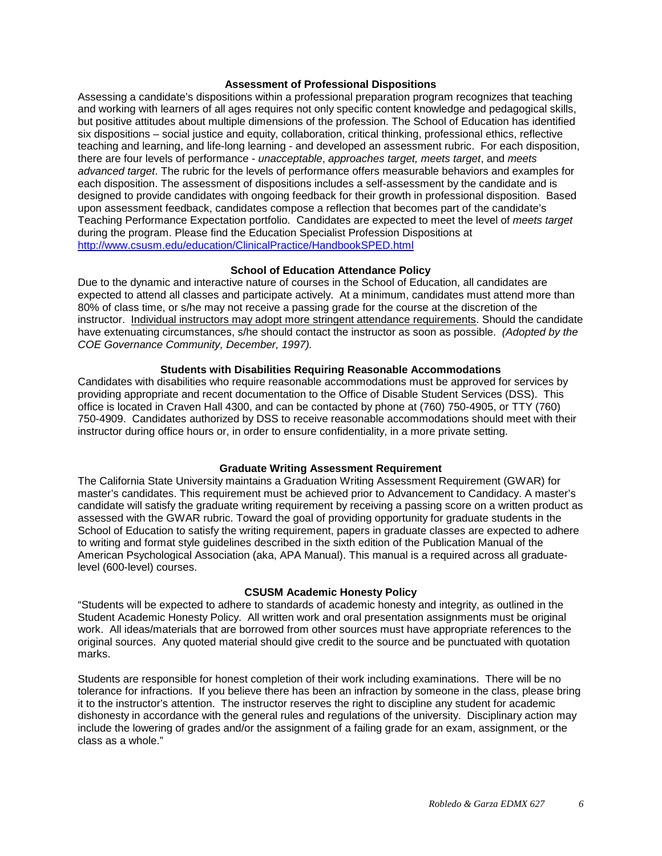#### **Assessment of Professional Dispositions**

Assessing a candidate's dispositions within a professional preparation program recognizes that teaching and working with learners of all ages requires not only specific content knowledge and pedagogical skills, but positive attitudes about multiple dimensions of the profession. The School of Education has identified six dispositions – social justice and equity, collaboration, critical thinking, professional ethics, reflective teaching and learning, and life-long learning - and developed an assessment rubric. For each disposition, there are four levels of performance - *unacceptable*, *approaches target, meets target*, and *meets advanced target*. The rubric for the levels of performance offers measurable behaviors and examples for each disposition. The assessment of dispositions includes a self-assessment by the candidate and is designed to provide candidates with ongoing feedback for their growth in professional disposition. Based upon assessment feedback, candidates compose a reflection that becomes part of the candidate's Teaching Performance Expectation portfolio. Candidates are expected to meet the level of *meets target* during the program. Please find the Education Specialist Profession Dispositions at <http://www.csusm.edu/education/ClinicalPractice/HandbookSPED.html>

## **School of Education Attendance Policy**

<span id="page-5-0"></span>Due to the dynamic and interactive nature of courses in the School of Education, all candidates are expected to attend all classes and participate actively. At a minimum, candidates must attend more than 80% of class time, or s/he may not receive a passing grade for the course at the discretion of the instructor. Individual instructors may adopt more stringent attendance requirements. Should the candidate have extenuating circumstances, s/he should contact the instructor as soon as possible. *(Adopted by the COE Governance Community, December, 1997).*

## **Students with Disabilities Requiring Reasonable Accommodations**

<span id="page-5-1"></span>Candidates with disabilities who require reasonable accommodations must be approved for services by providing appropriate and recent documentation to the Office of Disable Student Services (DSS). This office is located in Craven Hall 4300, and can be contacted by phone at (760) 750-4905, or TTY (760) 750-4909. Candidates authorized by DSS to receive reasonable accommodations should meet with their instructor during office hours or, in order to ensure confidentiality, in a more private setting.

## **Graduate Writing Assessment Requirement**

<span id="page-5-2"></span>The California State University maintains a Graduation Writing Assessment Requirement (GWAR) for master's candidates. This requirement must be achieved prior to Advancement to Candidacy. A master's candidate will satisfy the graduate writing requirement by receiving a passing score on a written product as assessed with the GWAR rubric. Toward the goal of providing opportunity for graduate students in the School of Education to satisfy the writing requirement, papers in graduate classes are expected to adhere to writing and format style guidelines described in the sixth edition of the Publication Manual of the American Psychological Association (aka, APA Manual). This manual is a required across all graduatelevel (600-level) courses.

## **CSUSM Academic Honesty Policy**

<span id="page-5-3"></span>"Students will be expected to adhere to standards of academic honesty and integrity, as outlined in the Student Academic Honesty Policy. All written work and oral presentation assignments must be original work. All ideas/materials that are borrowed from other sources must have appropriate references to the original sources. Any quoted material should give credit to the source and be punctuated with quotation marks.

Students are responsible for honest completion of their work including examinations. There will be no tolerance for infractions. If you believe there has been an infraction by someone in the class, please bring it to the instructor's attention. The instructor reserves the right to discipline any student for academic dishonesty in accordance with the general rules and regulations of the university. Disciplinary action may include the lowering of grades and/or the assignment of a failing grade for an exam, assignment, or the class as a whole."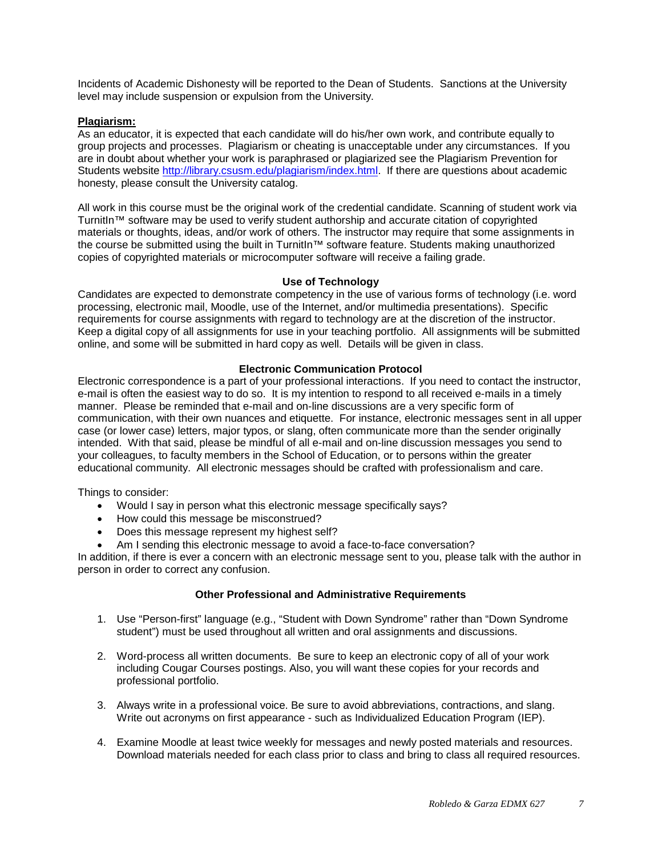Incidents of Academic Dishonesty will be reported to the Dean of Students. Sanctions at the University level may include suspension or expulsion from the University.

## <span id="page-6-0"></span>**Plagiarism:**

As an educator, it is expected that each candidate will do his/her own work, and contribute equally to group projects and processes. Plagiarism or cheating is unacceptable under any circumstances. If you are in doubt about whether your work is paraphrased or plagiarized see the Plagiarism Prevention for Students website [http://library.csusm.edu/plagiarism/index.html.](http://library.csusm.edu/plagiarism/index.html) If there are questions about academic honesty, please consult the University catalog.

All work in this course must be the original work of the credential candidate. Scanning of student work via TurnitIn™ software may be used to verify student authorship and accurate citation of copyrighted materials or thoughts, ideas, and/or work of others. The instructor may require that some assignments in the course be submitted using the built in TurnitIn™ software feature. Students making unauthorized copies of copyrighted materials or microcomputer software will receive a failing grade.

## **Use of Technology**

<span id="page-6-1"></span>Candidates are expected to demonstrate competency in the use of various forms of technology (i.e. word processing, electronic mail, Moodle, use of the Internet, and/or multimedia presentations). Specific requirements for course assignments with regard to technology are at the discretion of the instructor. Keep a digital copy of all assignments for use in your teaching portfolio. All assignments will be submitted online, and some will be submitted in hard copy as well. Details will be given in class.

## **Electronic Communication Protocol**

<span id="page-6-2"></span>Electronic correspondence is a part of your professional interactions. If you need to contact the instructor, e-mail is often the easiest way to do so. It is my intention to respond to all received e-mails in a timely manner. Please be reminded that e-mail and on-line discussions are a very specific form of communication, with their own nuances and etiquette. For instance, electronic messages sent in all upper case (or lower case) letters, major typos, or slang, often communicate more than the sender originally intended. With that said, please be mindful of all e-mail and on-line discussion messages you send to your colleagues, to faculty members in the School of Education, or to persons within the greater educational community. All electronic messages should be crafted with professionalism and care.

Things to consider:

- Would I say in person what this electronic message specifically says?
- How could this message be misconstrued?
- Does this message represent my highest self?
- Am I sending this electronic message to avoid a face-to-face conversation?

In addition, if there is ever a concern with an electronic message sent to you, please talk with the author in person in order to correct any confusion.

## **Other Professional and Administrative Requirements**

- <span id="page-6-3"></span>1. Use "Person-first" language (e.g., "Student with Down Syndrome" rather than "Down Syndrome student") must be used throughout all written and oral assignments and discussions.
- 2. Word-process all written documents. Be sure to keep an electronic copy of all of your work including Cougar Courses postings. Also, you will want these copies for your records and professional portfolio.
- 3. Always write in a professional voice. Be sure to avoid abbreviations, contractions, and slang. Write out acronyms on first appearance - such as Individualized Education Program (IEP).
- 4. Examine Moodle at least twice weekly for messages and newly posted materials and resources. Download materials needed for each class prior to class and bring to class all required resources.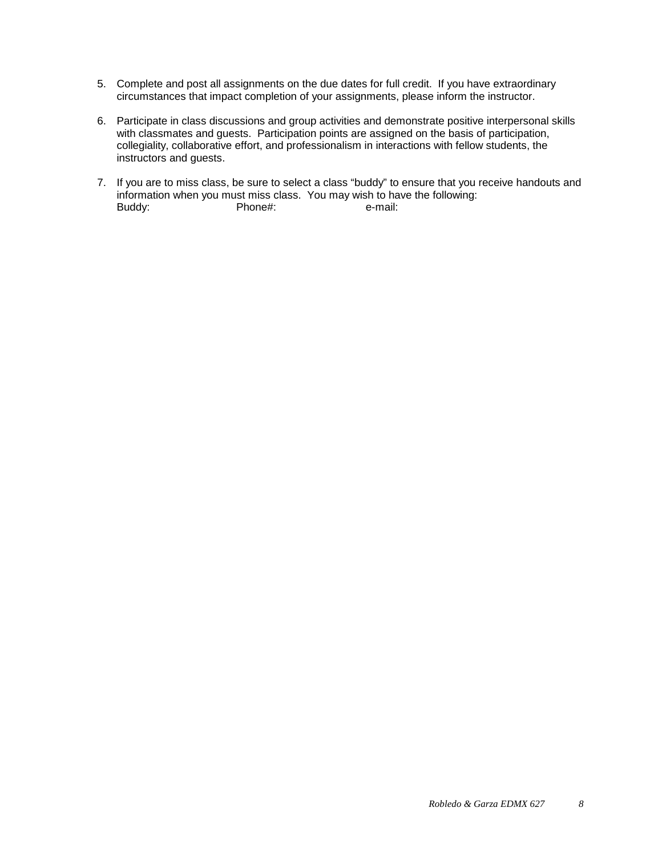- 5. Complete and post all assignments on the due dates for full credit. If you have extraordinary circumstances that impact completion of your assignments, please inform the instructor.
- 6. Participate in class discussions and group activities and demonstrate positive interpersonal skills with classmates and guests. Participation points are assigned on the basis of participation, collegiality, collaborative effort, and professionalism in interactions with fellow students, the instructors and guests.
- <span id="page-7-0"></span>7. If you are to miss class, be sure to select a class "buddy" to ensure that you receive handouts and information when you must miss class. You may wish to have the following:<br>Buddy: Phone#: e-mail: Phone#: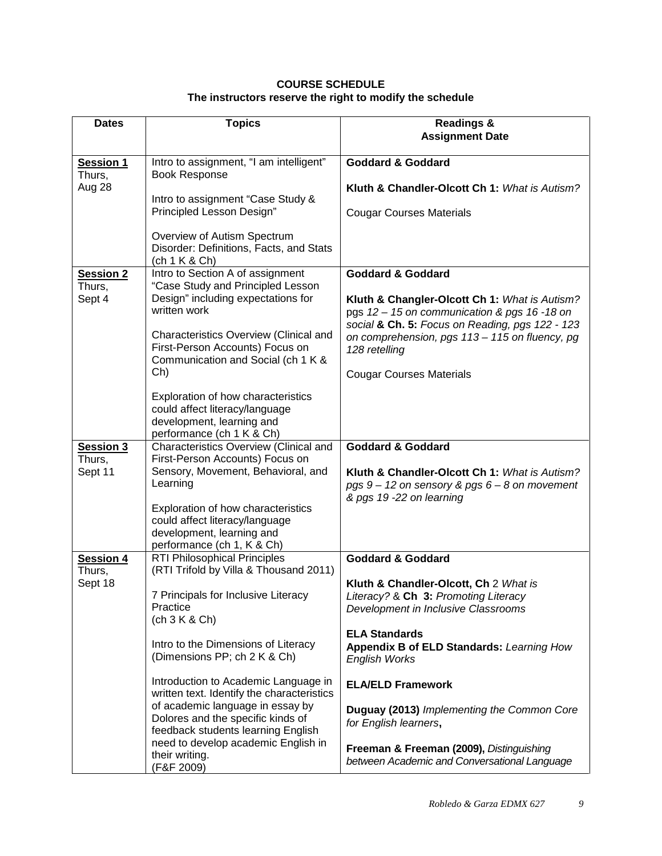## **COURSE SCHEDULE The instructors reserve the right to modify the schedule**

| <b>Dates</b>               | <b>Topics</b>                                                                                                                   | <b>Readings &amp;</b><br><b>Assignment Date</b>                                                                                |  |  |
|----------------------------|---------------------------------------------------------------------------------------------------------------------------------|--------------------------------------------------------------------------------------------------------------------------------|--|--|
|                            |                                                                                                                                 |                                                                                                                                |  |  |
| <b>Session 1</b><br>Thurs, | Intro to assignment, "I am intelligent"<br><b>Book Response</b>                                                                 | <b>Goddard &amp; Goddard</b>                                                                                                   |  |  |
| Aug 28                     | Intro to assignment "Case Study &                                                                                               | Kluth & Chandler-Olcott Ch 1: What is Autism?                                                                                  |  |  |
|                            | Principled Lesson Design"                                                                                                       | <b>Cougar Courses Materials</b>                                                                                                |  |  |
|                            | Overview of Autism Spectrum<br>Disorder: Definitions, Facts, and Stats<br>(ch 1 K & Ch)                                         |                                                                                                                                |  |  |
| <b>Session 2</b><br>Thurs, | Intro to Section A of assignment<br>"Case Study and Principled Lesson                                                           | <b>Goddard &amp; Goddard</b>                                                                                                   |  |  |
| Sept 4                     | Design" including expectations for<br>written work                                                                              | Kluth & Changler-Olcott Ch 1: What is Autism?<br>pgs 12 - 15 on communication & pgs 16 -18 on                                  |  |  |
|                            | Characteristics Overview (Clinical and<br>First-Person Accounts) Focus on<br>Communication and Social (ch 1 K &                 | social & Ch. 5: Focus on Reading, pgs 122 - 123<br>on comprehension, pgs 113 - 115 on fluency, pg<br>128 retelling             |  |  |
|                            | Ch)                                                                                                                             | <b>Cougar Courses Materials</b>                                                                                                |  |  |
|                            | Exploration of how characteristics<br>could affect literacy/language<br>development, learning and<br>performance (ch 1 K & Ch)  |                                                                                                                                |  |  |
| Session 3<br>Thurs,        | Characteristics Overview (Clinical and<br>First-Person Accounts) Focus on                                                       | <b>Goddard &amp; Goddard</b>                                                                                                   |  |  |
| Sept 11                    | Sensory, Movement, Behavioral, and<br>Learning                                                                                  | Kluth & Chandler-Olcott Ch 1: What is Autism?<br>pgs $9 - 12$ on sensory & pgs $6 - 8$ on movement<br>& pgs 19 -22 on learning |  |  |
|                            | Exploration of how characteristics<br>could affect literacy/language<br>development, learning and<br>performance (ch 1, K & Ch) |                                                                                                                                |  |  |
| <b>Session 4</b><br>Thurs, | <b>RTI Philosophical Principles</b><br>(RTI Trifold by Villa & Thousand 2011)                                                   | <b>Goddard &amp; Goddard</b>                                                                                                   |  |  |
| Sept 18                    | 7 Principals for Inclusive Literacy<br>Practice<br>(ch 3 K & Ch)                                                                | Kluth & Chandler-Olcott, Ch 2 What is<br>Literacy? & Ch 3: Promoting Literacy<br>Development in Inclusive Classrooms           |  |  |
|                            | Intro to the Dimensions of Literacy<br>(Dimensions PP; ch 2 K & Ch)                                                             | <b>ELA Standards</b><br>Appendix B of ELD Standards: Learning How<br><b>English Works</b>                                      |  |  |
|                            | Introduction to Academic Language in<br>written text. Identify the characteristics                                              | <b>ELA/ELD Framework</b>                                                                                                       |  |  |
|                            | of academic language in essay by<br>Dolores and the specific kinds of<br>feedback students learning English                     | Duguay (2013) Implementing the Common Core<br>for English learners,                                                            |  |  |
|                            | need to develop academic English in<br>their writing.<br>(F&F 2009)                                                             | Freeman & Freeman (2009), Distinguishing<br>between Academic and Conversational Language                                       |  |  |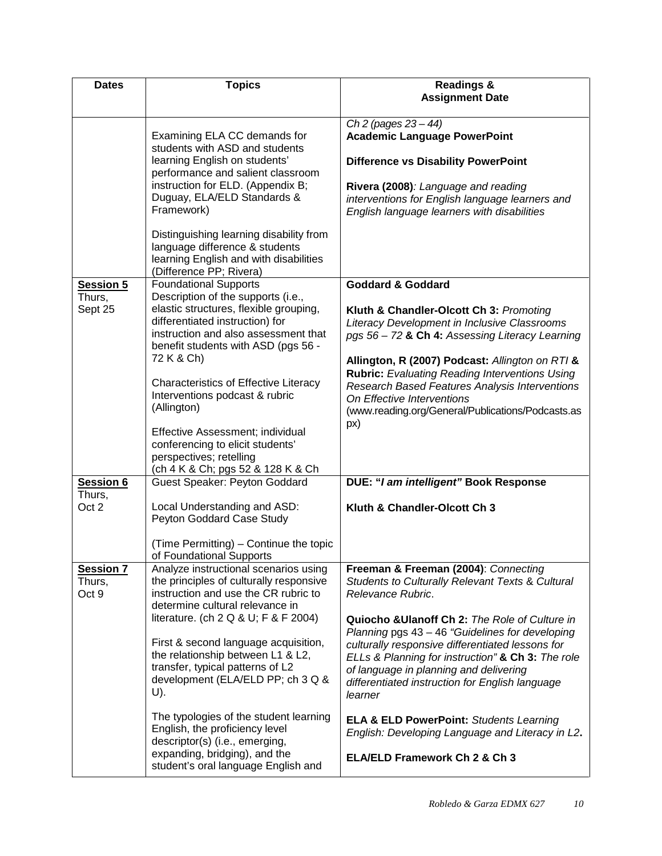| <b>Dates</b>                        | <b>Topics</b>                                                                                                                                                                                        | <b>Readings &amp;</b><br><b>Assignment Date</b>                                                                                                                                                                                                                                                         |  |  |
|-------------------------------------|------------------------------------------------------------------------------------------------------------------------------------------------------------------------------------------------------|---------------------------------------------------------------------------------------------------------------------------------------------------------------------------------------------------------------------------------------------------------------------------------------------------------|--|--|
|                                     |                                                                                                                                                                                                      | Ch 2 (pages $23 - 44$ )                                                                                                                                                                                                                                                                                 |  |  |
|                                     | Examining ELA CC demands for                                                                                                                                                                         | <b>Academic Language PowerPoint</b>                                                                                                                                                                                                                                                                     |  |  |
|                                     | students with ASD and students<br>learning English on students'<br>performance and salient classroom                                                                                                 | <b>Difference vs Disability PowerPoint</b>                                                                                                                                                                                                                                                              |  |  |
|                                     | instruction for ELD. (Appendix B;<br>Duguay, ELA/ELD Standards &<br>Framework)                                                                                                                       | Rivera (2008): Language and reading<br>interventions for English language learners and<br>English language learners with disabilities                                                                                                                                                                   |  |  |
|                                     | Distinguishing learning disability from<br>language difference & students<br>learning English and with disabilities<br>(Difference PP; Rivera)                                                       |                                                                                                                                                                                                                                                                                                         |  |  |
| <b>Session 5</b><br>Thurs,          | <b>Foundational Supports</b><br>Description of the supports (i.e.,                                                                                                                                   | <b>Goddard &amp; Goddard</b>                                                                                                                                                                                                                                                                            |  |  |
| Sept 25                             | elastic structures, flexible grouping,<br>differentiated instruction) for<br>instruction and also assessment that<br>benefit students with ASD (pgs 56 -                                             | Kluth & Chandler-Olcott Ch 3: Promoting<br>Literacy Development in Inclusive Classrooms<br>pgs 56 - 72 & Ch 4: Assessing Literacy Learning                                                                                                                                                              |  |  |
|                                     | 72 K & Ch)<br>Characteristics of Effective Literacy<br>Interventions podcast & rubric<br>(Allington)                                                                                                 | Allington, R (2007) Podcast: Allington on RTI &<br><b>Rubric:</b> Evaluating Reading Interventions Using<br>Research Based Features Analysis Interventions<br>On Effective Interventions<br>(www.reading.org/General/Publications/Podcasts.as                                                           |  |  |
|                                     | Effective Assessment; individual<br>conferencing to elicit students'<br>perspectives; retelling<br>(ch 4 K & Ch; pgs 52 & 128 K & Ch                                                                 | px)                                                                                                                                                                                                                                                                                                     |  |  |
| <b>Session 6</b>                    | Guest Speaker: Peyton Goddard                                                                                                                                                                        | DUE: "I am intelligent" Book Response                                                                                                                                                                                                                                                                   |  |  |
| Thurs,<br>Oct 2                     | Local Understanding and ASD:<br>Peyton Goddard Case Study                                                                                                                                            | Kluth & Chandler-Olcott Ch 3                                                                                                                                                                                                                                                                            |  |  |
|                                     | (Time Permitting) - Continue the topic<br>of Foundational Supports                                                                                                                                   |                                                                                                                                                                                                                                                                                                         |  |  |
| <b>Session 7</b><br>Thurs,<br>Oct 9 | Analyze instructional scenarios using<br>the principles of culturally responsive<br>instruction and use the CR rubric to<br>determine cultural relevance in                                          | Freeman & Freeman (2004): Connecting<br>Students to Culturally Relevant Texts & Cultural<br>Relevance Rubric.                                                                                                                                                                                           |  |  |
|                                     | literature. (ch $2 Q & U$ ; F & F 2004)<br>First & second language acquisition,<br>the relationship between L1 & L2,<br>transfer, typical patterns of L2<br>development (ELA/ELD PP; ch 3 Q &<br>U). | Quiocho & Ulanoff Ch 2: The Role of Culture in<br>Planning pgs 43 - 46 "Guidelines for developing<br>culturally responsive differentiated lessons for<br>ELLs & Planning for instruction" & Ch 3: The role<br>of language in planning and delivering<br>differentiated instruction for English language |  |  |
|                                     | The typologies of the student learning<br>English, the proficiency level<br>descriptor(s) (i.e., emerging,<br>expanding, bridging), and the                                                          | learner<br><b>ELA &amp; ELD PowerPoint: Students Learning</b><br>English: Developing Language and Literacy in L2.<br>ELA/ELD Framework Ch 2 & Ch 3                                                                                                                                                      |  |  |
|                                     | student's oral language English and                                                                                                                                                                  |                                                                                                                                                                                                                                                                                                         |  |  |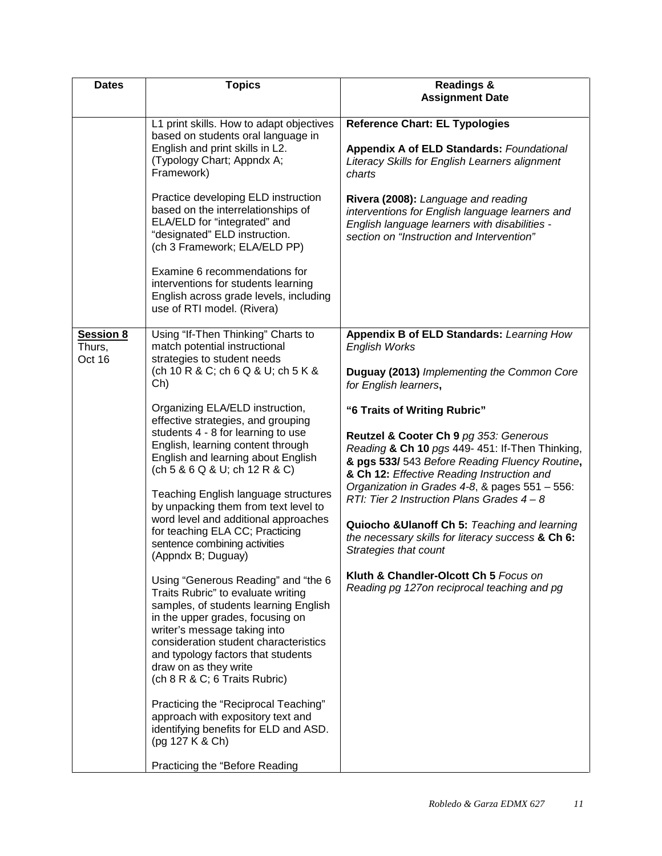| <b>Dates</b>                         | <b>Topics</b>                                                                                                                                                                                                                                                                                                                   | <b>Readings &amp;</b>                                                                                                                                                                                                     |  |  |
|--------------------------------------|---------------------------------------------------------------------------------------------------------------------------------------------------------------------------------------------------------------------------------------------------------------------------------------------------------------------------------|---------------------------------------------------------------------------------------------------------------------------------------------------------------------------------------------------------------------------|--|--|
|                                      |                                                                                                                                                                                                                                                                                                                                 | <b>Assignment Date</b>                                                                                                                                                                                                    |  |  |
|                                      | L1 print skills. How to adapt objectives<br>based on students oral language in<br>English and print skills in L2.<br>(Typology Chart; Appndx A;<br>Framework)                                                                                                                                                                   | <b>Reference Chart: EL Typologies</b><br><b>Appendix A of ELD Standards: Foundational</b><br>Literacy Skills for English Learners alignment<br>charts                                                                     |  |  |
|                                      | Practice developing ELD instruction<br>based on the interrelationships of<br>ELA/ELD for "integrated" and<br>"designated" ELD instruction.<br>(ch 3 Framework; ELA/ELD PP)<br>Examine 6 recommendations for                                                                                                                     | Rivera (2008): Language and reading<br>interventions for English language learners and<br>English language learners with disabilities -<br>section on "Instruction and Intervention"                                      |  |  |
|                                      | interventions for students learning<br>English across grade levels, including<br>use of RTI model. (Rivera)                                                                                                                                                                                                                     |                                                                                                                                                                                                                           |  |  |
| <b>Session 8</b><br>Thurs,<br>Oct 16 | Using "If-Then Thinking" Charts to<br>match potential instructional<br>strategies to student needs                                                                                                                                                                                                                              | Appendix B of ELD Standards: Learning How<br><b>English Works</b>                                                                                                                                                         |  |  |
|                                      | (ch 10 R & C; ch 6 Q & U; ch 5 K &<br>Ch)                                                                                                                                                                                                                                                                                       | Duguay (2013) Implementing the Common Core<br>for English learners,                                                                                                                                                       |  |  |
|                                      | Organizing ELA/ELD instruction,<br>effective strategies, and grouping<br>students 4 - 8 for learning to use<br>English, learning content through<br>English and learning about English<br>(ch 5 & 6 Q & U; ch 12 R & C)                                                                                                         | "6 Traits of Writing Rubric"<br>Reutzel & Cooter Ch 9 pg 353: Generous<br>Reading & Ch 10 pgs 449- 451: If-Then Thinking,<br>& pgs 533/ 543 Before Reading Fluency Routine,<br>& Ch 12: Effective Reading Instruction and |  |  |
|                                      | <b>Teaching English language structures</b><br>by unpacking them from text level to<br>word level and additional approaches<br>for teaching ELA CC; Practicing                                                                                                                                                                  | Organization in Grades 4-8, & pages 551 - 556:<br>RTI: Tier 2 Instruction Plans Grades $4 - 8$<br>Quiocho & Ulanoff Ch 5: Teaching and learning                                                                           |  |  |
|                                      | sentence combining activities<br>(Appndx B; Duguay)                                                                                                                                                                                                                                                                             | the necessary skills for literacy success & Ch 6:<br>Strategies that count                                                                                                                                                |  |  |
|                                      | Using "Generous Reading" and "the 6<br>Traits Rubric" to evaluate writing<br>samples, of students learning English<br>in the upper grades, focusing on<br>writer's message taking into<br>consideration student characteristics<br>and typology factors that students<br>draw on as they write<br>(ch 8 R & C; 6 Traits Rubric) | Kluth & Chandler-Olcott Ch 5 Focus on<br>Reading pg 127on reciprocal teaching and pg                                                                                                                                      |  |  |
|                                      | Practicing the "Reciprocal Teaching"<br>approach with expository text and<br>identifying benefits for ELD and ASD.<br>(pg 127 K & Ch)                                                                                                                                                                                           |                                                                                                                                                                                                                           |  |  |
|                                      | Practicing the "Before Reading                                                                                                                                                                                                                                                                                                  |                                                                                                                                                                                                                           |  |  |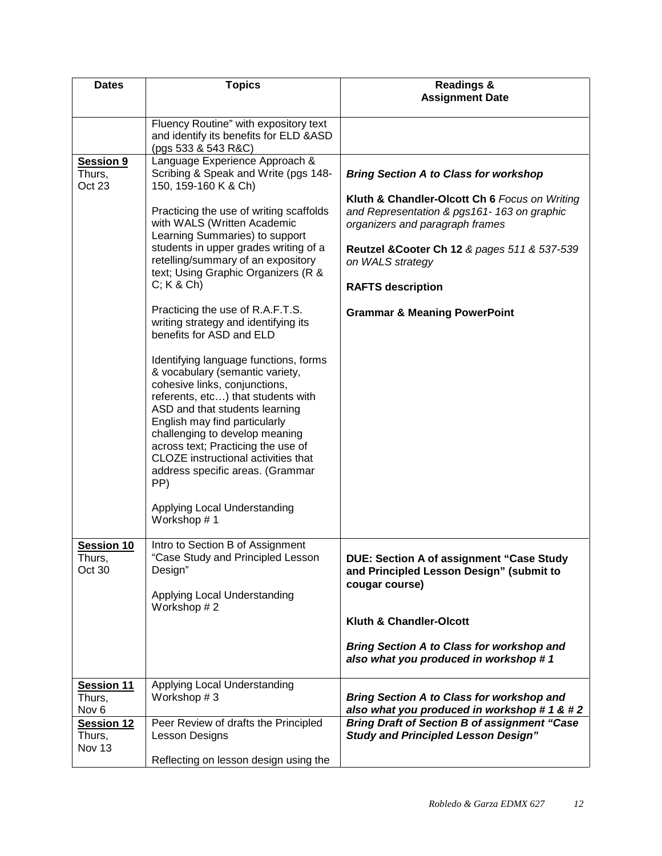| <b>Dates</b>                             | <b>Topics</b>                                                                                                                                                                                                                                                                                                                                                                | <b>Readings &amp;</b>                                                                                                          |
|------------------------------------------|------------------------------------------------------------------------------------------------------------------------------------------------------------------------------------------------------------------------------------------------------------------------------------------------------------------------------------------------------------------------------|--------------------------------------------------------------------------------------------------------------------------------|
|                                          |                                                                                                                                                                                                                                                                                                                                                                              | <b>Assignment Date</b>                                                                                                         |
|                                          | Fluency Routine" with expository text<br>and identify its benefits for ELD & ASD<br>(pgs 533 & 543 R&C)                                                                                                                                                                                                                                                                      |                                                                                                                                |
| Session 9<br>Thurs,<br>Oct 23            | Language Experience Approach &<br>Scribing & Speak and Write (pgs 148-<br>150, 159-160 K & Ch)                                                                                                                                                                                                                                                                               | <b>Bring Section A to Class for workshop</b>                                                                                   |
|                                          | Practicing the use of writing scaffolds<br>with WALS (Written Academic<br>Learning Summaries) to support                                                                                                                                                                                                                                                                     | Kluth & Chandler-Olcott Ch 6 Focus on Writing<br>and Representation & pgs161-163 on graphic<br>organizers and paragraph frames |
|                                          | students in upper grades writing of a<br>retelling/summary of an expository<br>text; Using Graphic Organizers (R &                                                                                                                                                                                                                                                           | Reutzel & Cooter Ch 12 & pages 511 & 537-539<br>on WALS strategy                                                               |
|                                          | $C; K & C$ h)                                                                                                                                                                                                                                                                                                                                                                | <b>RAFTS description</b>                                                                                                       |
|                                          | Practicing the use of R.A.F.T.S.<br>writing strategy and identifying its<br>benefits for ASD and ELD                                                                                                                                                                                                                                                                         | <b>Grammar &amp; Meaning PowerPoint</b>                                                                                        |
|                                          | Identifying language functions, forms<br>& vocabulary (semantic variety,<br>cohesive links, conjunctions,<br>referents, etc) that students with<br>ASD and that students learning<br>English may find particularly<br>challenging to develop meaning<br>across text; Practicing the use of<br>CLOZE instructional activities that<br>address specific areas. (Grammar<br>PP) |                                                                                                                                |
|                                          | Applying Local Understanding<br>Workshop #1                                                                                                                                                                                                                                                                                                                                  |                                                                                                                                |
| Session 10<br>Thurs,<br>Oct 30           | Intro to Section B of Assignment<br>"Case Study and Principled Lesson<br>Design"<br>Applying Local Understanding<br>Workshop #2                                                                                                                                                                                                                                              | <b>DUE: Section A of assignment "Case Study</b><br>and Principled Lesson Design" (submit to<br>cougar course)                  |
|                                          |                                                                                                                                                                                                                                                                                                                                                                              | Kluth & Chandler-Olcott                                                                                                        |
|                                          |                                                                                                                                                                                                                                                                                                                                                                              | <b>Bring Section A to Class for workshop and</b><br>also what you produced in workshop #1                                      |
| Session 11<br>Thurs,<br>Nov <sub>6</sub> | Applying Local Understanding<br>Workshop #3                                                                                                                                                                                                                                                                                                                                  | <b>Bring Section A to Class for workshop and</b><br>also what you produced in workshop #1 & #2                                 |
| Session 12<br>Thurs,<br>Nov 13           | Peer Review of drafts the Principled<br><b>Lesson Designs</b>                                                                                                                                                                                                                                                                                                                | <b>Bring Draft of Section B of assignment "Case</b><br><b>Study and Principled Lesson Design"</b>                              |
|                                          | Reflecting on lesson design using the                                                                                                                                                                                                                                                                                                                                        |                                                                                                                                |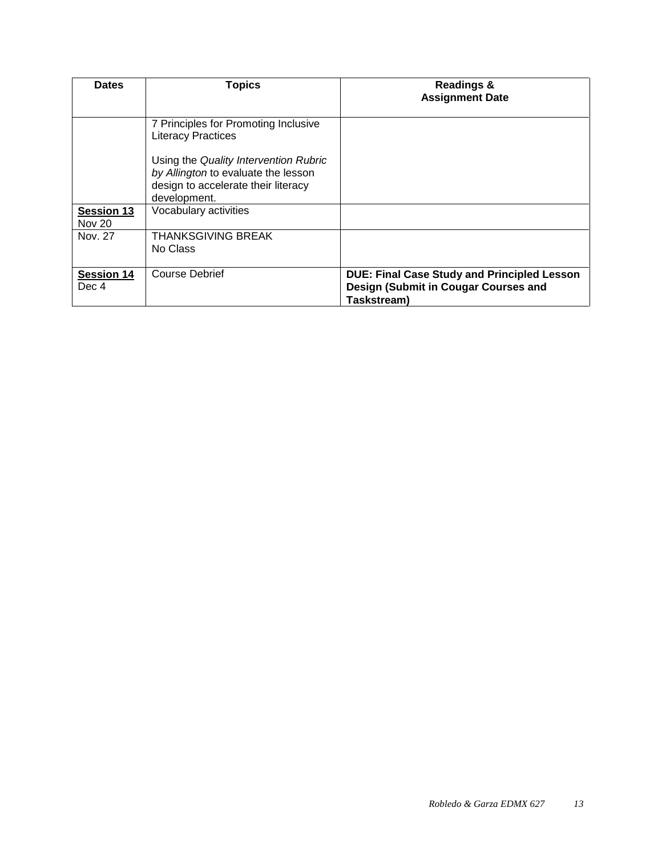| <b>Dates</b>                       | <b>Topics</b>                                                                                                                       | <b>Readings &amp;</b><br><b>Assignment Date</b>                                                           |
|------------------------------------|-------------------------------------------------------------------------------------------------------------------------------------|-----------------------------------------------------------------------------------------------------------|
|                                    | 7 Principles for Promoting Inclusive<br><b>Literacy Practices</b>                                                                   |                                                                                                           |
|                                    | Using the Quality Intervention Rubric<br>by Allington to evaluate the lesson<br>design to accelerate their literacy<br>development. |                                                                                                           |
| <b>Session 13</b><br><b>Nov 20</b> | Vocabulary activities                                                                                                               |                                                                                                           |
| Nov. 27                            | <b>THANKSGIVING BREAK</b><br>No Class                                                                                               |                                                                                                           |
| <b>Session 14</b><br>Dec 4         | <b>Course Debrief</b>                                                                                                               | <b>DUE: Final Case Study and Principled Lesson</b><br>Design (Submit in Cougar Courses and<br>Taskstream) |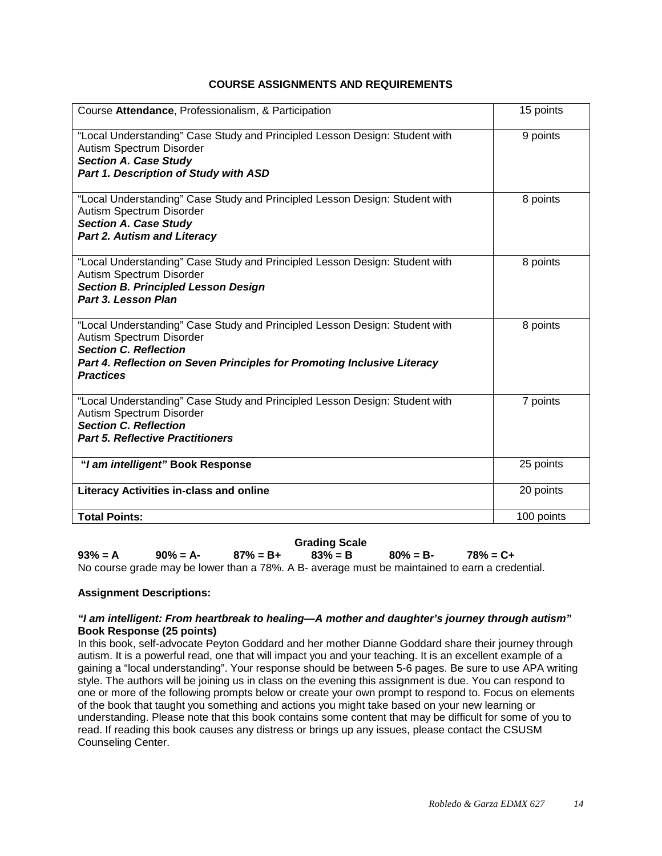## **COURSE ASSIGNMENTS AND REQUIREMENTS**

<span id="page-13-0"></span>

| Course Attendance, Professionalism, & Participation                                                                                                                                                                                    | 15 points  |
|----------------------------------------------------------------------------------------------------------------------------------------------------------------------------------------------------------------------------------------|------------|
| "Local Understanding" Case Study and Principled Lesson Design: Student with<br>Autism Spectrum Disorder<br><b>Section A. Case Study</b><br>Part 1. Description of Study with ASD                                                       | 9 points   |
| "Local Understanding" Case Study and Principled Lesson Design: Student with<br>Autism Spectrum Disorder<br><b>Section A. Case Study</b><br><b>Part 2. Autism and Literacy</b>                                                          | 8 points   |
| "Local Understanding" Case Study and Principled Lesson Design: Student with<br>Autism Spectrum Disorder<br><b>Section B. Principled Lesson Design</b><br>Part 3. Lesson Plan                                                           | 8 points   |
| "Local Understanding" Case Study and Principled Lesson Design: Student with<br>Autism Spectrum Disorder<br><b>Section C. Reflection</b><br>Part 4. Reflection on Seven Principles for Promoting Inclusive Literacy<br><b>Practices</b> | 8 points   |
| "Local Understanding" Case Study and Principled Lesson Design: Student with<br>Autism Spectrum Disorder<br><b>Section C. Reflection</b><br><b>Part 5. Reflective Practitioners</b>                                                     | 7 points   |
| "I am intelligent" Book Response                                                                                                                                                                                                       | 25 points  |
| <b>Literacy Activities in-class and online</b>                                                                                                                                                                                         | 20 points  |
| <b>Total Points:</b>                                                                                                                                                                                                                   | 100 points |

<span id="page-13-1"></span>**Grading Scale 93% = A 90% = A- 87% = B+ 83% = B 80% = B- 78% = C+** No course grade may be lower than a 78%. A B- average must be maintained to earn a credential.

## **Assignment Descriptions:**

## *"I am intelligent: From heartbreak to healing—A mother and daughter's journey through autism"*  **Book Response (25 points)**

In this book, self-advocate Peyton Goddard and her mother Dianne Goddard share their journey through autism. It is a powerful read, one that will impact you and your teaching. It is an excellent example of a gaining a "local understanding". Your response should be between 5-6 pages. Be sure to use APA writing style. The authors will be joining us in class on the evening this assignment is due. You can respond to one or more of the following prompts below or create your own prompt to respond to. Focus on elements of the book that taught you something and actions you might take based on your new learning or understanding. Please note that this book contains some content that may be difficult for some of you to read. If reading this book causes any distress or brings up any issues, please contact the CSUSM Counseling Center.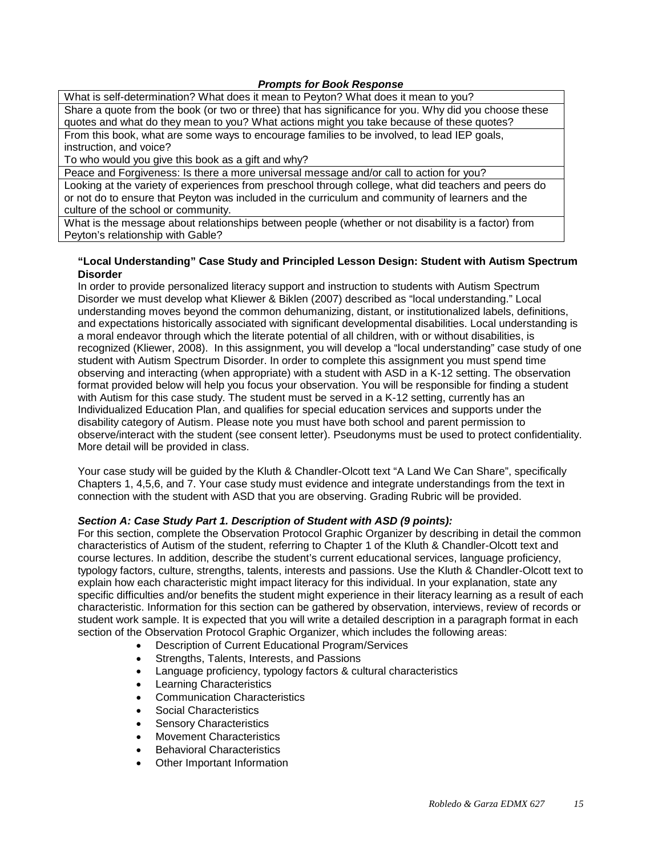## *Prompts for Book Response*

What is self-determination? What does it mean to Peyton? What does it mean to you? Share a quote from the book (or two or three) that has significance for you. Why did you choose these quotes and what do they mean to you? What actions might you take because of these quotes? From this book, what are some ways to encourage families to be involved, to lead IEP goals, instruction, and voice?

To who would you give this book as a gift and why?

Peace and Forgiveness: Is there a more universal message and/or call to action for you?

Looking at the variety of experiences from preschool through college, what did teachers and peers do or not do to ensure that Peyton was included in the curriculum and community of learners and the culture of the school or community.

What is the message about relationships between people (whether or not disability is a factor) from Peyton's relationship with Gable?

## **"Local Understanding" Case Study and Principled Lesson Design: Student with Autism Spectrum Disorder**

In order to provide personalized literacy support and instruction to students with Autism Spectrum Disorder we must develop what Kliewer & Biklen (2007) described as "local understanding." Local understanding moves beyond the common dehumanizing, distant, or institutionalized labels, definitions, and expectations historically associated with significant developmental disabilities. Local understanding is a moral endeavor through which the literate potential of all children, with or without disabilities, is recognized (Kliewer, 2008). In this assignment, you will develop a "local understanding" case study of one student with Autism Spectrum Disorder. In order to complete this assignment you must spend time observing and interacting (when appropriate) with a student with ASD in a K-12 setting. The observation format provided below will help you focus your observation. You will be responsible for finding a student with Autism for this case study. The student must be served in a K-12 setting, currently has an Individualized Education Plan, and qualifies for special education services and supports under the disability category of Autism. Please note you must have both school and parent permission to observe/interact with the student (see consent letter). Pseudonyms must be used to protect confidentiality. More detail will be provided in class.

Your case study will be guided by the Kluth & Chandler-Olcott text "A Land We Can Share", specifically Chapters 1, 4,5,6, and 7. Your case study must evidence and integrate understandings from the text in connection with the student with ASD that you are observing. Grading Rubric will be provided.

## *Section A: Case Study Part 1. Description of Student with ASD (9 points):*

For this section, complete the Observation Protocol Graphic Organizer by describing in detail the common characteristics of Autism of the student, referring to Chapter 1 of the Kluth & Chandler-Olcott text and course lectures. In addition, describe the student's current educational services, language proficiency, typology factors, culture, strengths, talents, interests and passions. Use the Kluth & Chandler-Olcott text to explain how each characteristic might impact literacy for this individual. In your explanation, state any specific difficulties and/or benefits the student might experience in their literacy learning as a result of each characteristic. Information for this section can be gathered by observation, interviews, review of records or student work sample. It is expected that you will write a detailed description in a paragraph format in each section of the Observation Protocol Graphic Organizer, which includes the following areas:

- Description of Current Educational Program/Services
- Strengths, Talents, Interests, and Passions
- Language proficiency, typology factors & cultural characteristics
- **Learning Characteristics**
- Communication Characteristics
- Social Characteristics
- Sensory Characteristics
- Movement Characteristics
- Behavioral Characteristics
- Other Important Information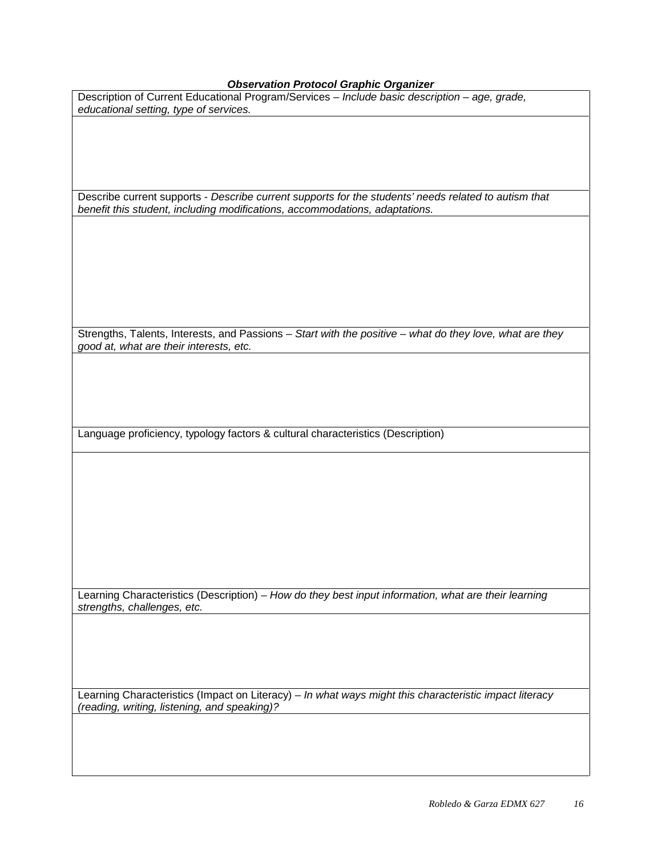# *Observation Protocol Graphic Organizer*

| <b>Observation Protocol Graphic Organizer</b>                                                            |
|----------------------------------------------------------------------------------------------------------|
| Description of Current Educational Program/Services - Include basic description - age, grade,            |
| educational setting, type of services.                                                                   |
|                                                                                                          |
|                                                                                                          |
|                                                                                                          |
|                                                                                                          |
|                                                                                                          |
|                                                                                                          |
|                                                                                                          |
|                                                                                                          |
| Describe current supports - Describe current supports for the students' needs related to autism that     |
| benefit this student, including modifications, accommodations, adaptations.                              |
|                                                                                                          |
|                                                                                                          |
|                                                                                                          |
|                                                                                                          |
|                                                                                                          |
|                                                                                                          |
|                                                                                                          |
|                                                                                                          |
|                                                                                                          |
|                                                                                                          |
|                                                                                                          |
| Strengths, Talents, Interests, and Passions - Start with the positive - what do they love, what are they |
|                                                                                                          |
| good at, what are their interests, etc.                                                                  |
|                                                                                                          |
|                                                                                                          |
|                                                                                                          |
|                                                                                                          |
|                                                                                                          |
|                                                                                                          |
|                                                                                                          |
| Language proficiency, typology factors & cultural characteristics (Description)                          |
|                                                                                                          |
|                                                                                                          |
|                                                                                                          |
|                                                                                                          |
|                                                                                                          |
|                                                                                                          |
|                                                                                                          |
|                                                                                                          |
|                                                                                                          |
|                                                                                                          |

Learning Characteristics (Description) – *How do they best input information, what are their learning strengths, challenges, etc.*

Learning Characteristics (Impact on Literacy) – *In what ways might this characteristic impact literacy (reading, writing, listening, and speaking)?*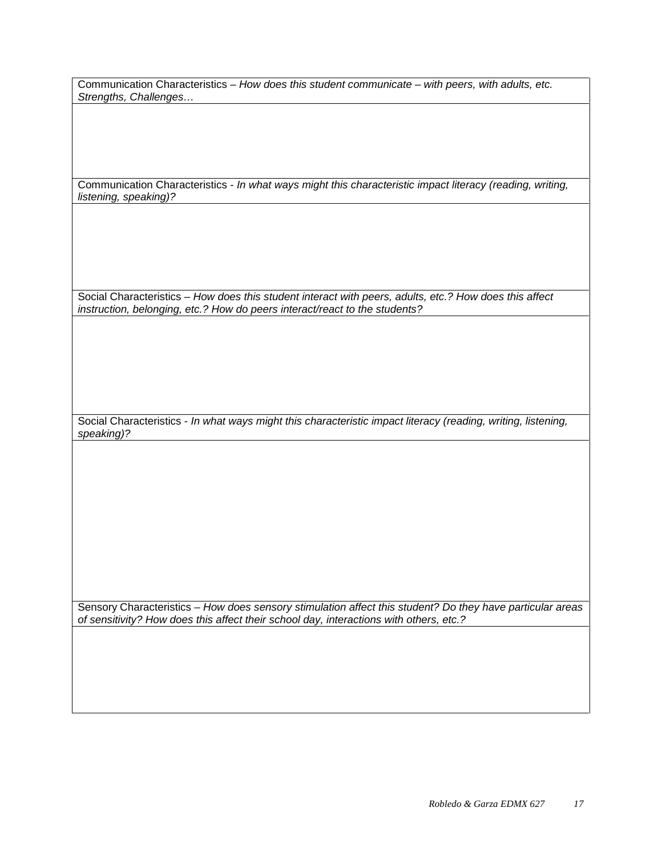Communication Characteristics – *How does this student communicate – with peers, with adults, etc. Strengths, Challenges…*

Communication Characteristics - *In what ways might this characteristic impact literacy (reading, writing, listening, speaking)?*

Social Characteristics – *How does this student interact with peers, adults, etc.? How does this affect instruction, belonging, etc.? How do peers interact/react to the students?*

Social Characteristics - *In what ways might this characteristic impact literacy (reading, writing, listening, speaking)?*

Sensory Characteristics – *How does sensory stimulation affect this student? Do they have particular areas of sensitivity? How does this affect their school day, interactions with others, etc.?*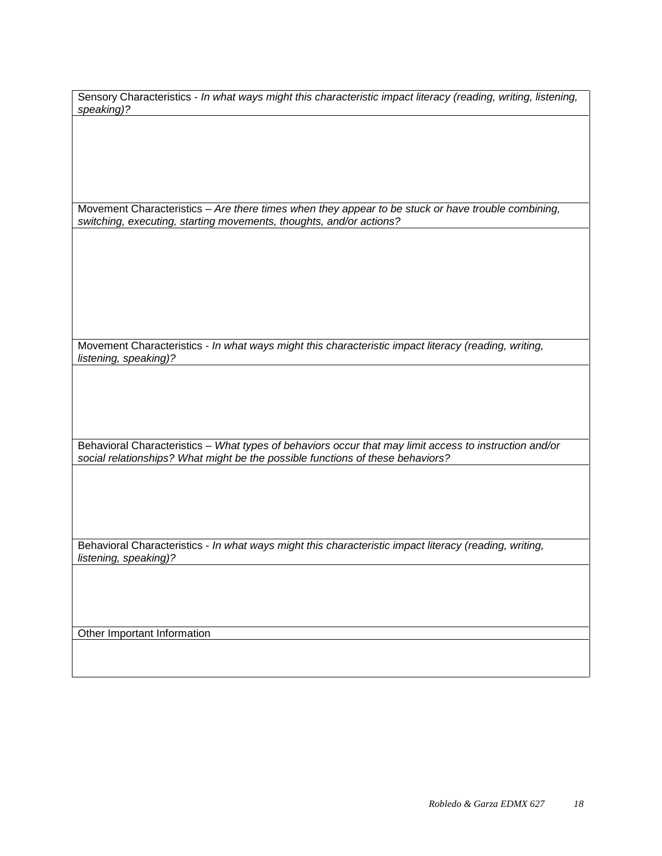Sensory Characteristics - *In what ways might this characteristic impact literacy (reading, writing, listening, speaking)?*

Movement Characteristics – *Are there times when they appear to be stuck or have trouble combining, switching, executing, starting movements, thoughts, and/or actions?* 

Movement Characteristics - *In what ways might this characteristic impact literacy (reading, writing, listening, speaking)?*

Behavioral Characteristics – *What types of behaviors occur that may limit access to instruction and/or social relationships? What might be the possible functions of these behaviors?*

Behavioral Characteristics - *In what ways might this characteristic impact literacy (reading, writing, listening, speaking)?*

Other Important Information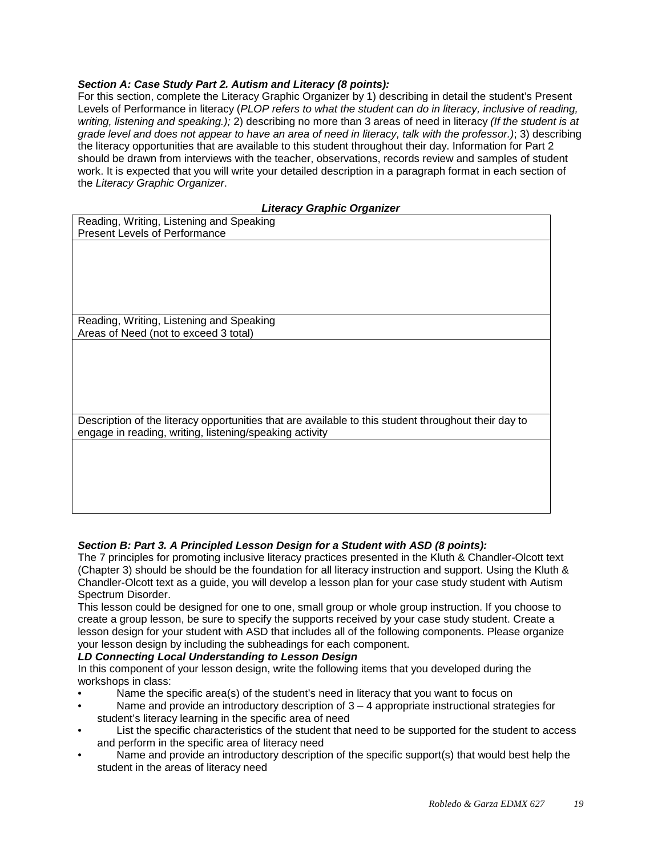## *Section A: Case Study Part 2. Autism and Literacy (8 points):*

For this section, complete the Literacy Graphic Organizer by 1) describing in detail the student's Present Levels of Performance in literacy (*PLOP refers to what the student can do in literacy, inclusive of reading, writing, listening and speaking.);* 2) describing no more than 3 areas of need in literacy *(If the student is at grade level and does not appear to have an area of need in literacy, talk with the professor.)*; 3) describing the literacy opportunities that are available to this student throughout their day. Information for Part 2 should be drawn from interviews with the teacher, observations, records review and samples of student work. It is expected that you will write your detailed description in a paragraph format in each section of the *Literacy Graphic Organizer*.

## *Literacy Graphic Organizer*

| Reading, Writing, Listening and Speaking<br><b>Present Levels of Performance</b>                                                                                |
|-----------------------------------------------------------------------------------------------------------------------------------------------------------------|
|                                                                                                                                                                 |
|                                                                                                                                                                 |
|                                                                                                                                                                 |
| Reading, Writing, Listening and Speaking<br>Areas of Need (not to exceed 3 total)                                                                               |
|                                                                                                                                                                 |
|                                                                                                                                                                 |
|                                                                                                                                                                 |
| Description of the literacy opportunities that are available to this student throughout their day to<br>engage in reading, writing, listening/speaking activity |
|                                                                                                                                                                 |
|                                                                                                                                                                 |
|                                                                                                                                                                 |

## *Section B: Part 3. A Principled Lesson Design for a Student with ASD (8 points):*

The 7 principles for promoting inclusive literacy practices presented in the Kluth & Chandler-Olcott text (Chapter 3) should be should be the foundation for all literacy instruction and support. Using the Kluth & Chandler-Olcott text as a guide, you will develop a lesson plan for your case study student with Autism Spectrum Disorder.

This lesson could be designed for one to one, small group or whole group instruction. If you choose to create a group lesson, be sure to specify the supports received by your case study student. Create a lesson design for your student with ASD that includes all of the following components. Please organize your lesson design by including the subheadings for each component.

## *LD Connecting Local Understanding to Lesson Design*

In this component of your lesson design, write the following items that you developed during the workshops in class:

- Name the specific area(s) of the student's need in literacy that you want to focus on
- Name and provide an introductory description of  $3 4$  appropriate instructional strategies for student's literacy learning in the specific area of need
- List the specific characteristics of the student that need to be supported for the student to access and perform in the specific area of literacy need
- Name and provide an introductory description of the specific support(s) that would best help the student in the areas of literacy need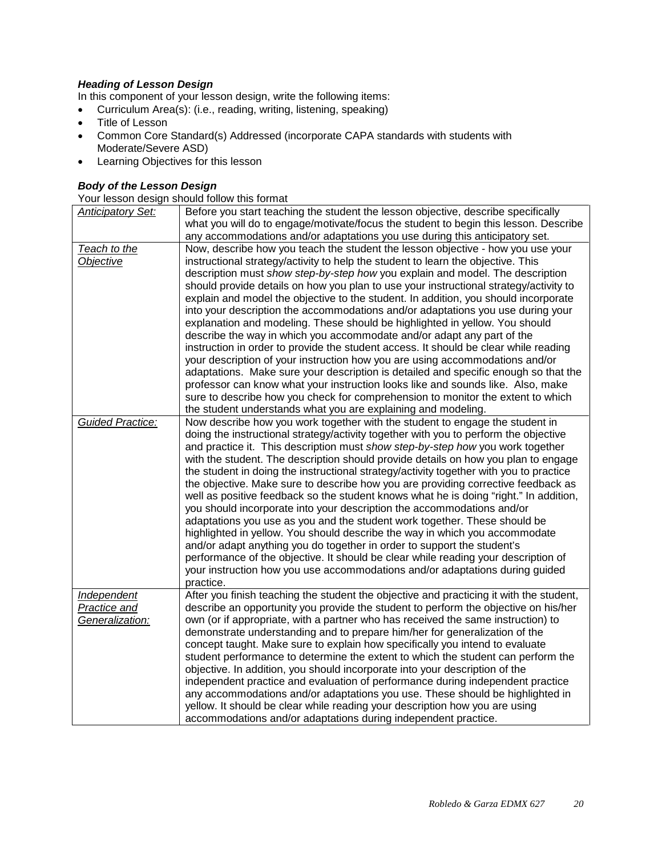## *Heading of Lesson Design*

In this component of your lesson design, write the following items:

- Curriculum Area(s): (i.e., reading, writing, listening, speaking)
- Title of Lesson
- Common Core Standard(s) Addressed (incorporate CAPA standards with students with Moderate/Severe ASD)
- Learning Objectives for this lesson

# *Body of the Lesson Design*

Your lesson design should follow this format

| <b>Anticipatory Set:</b> | Before you start teaching the student the lesson objective, describe specifically       |
|--------------------------|-----------------------------------------------------------------------------------------|
|                          | what you will do to engage/motivate/focus the student to begin this lesson. Describe    |
|                          | any accommodations and/or adaptations you use during this anticipatory set.             |
| Teach to the             | Now, describe how you teach the student the lesson objective - how you use your         |
| Objective                | instructional strategy/activity to help the student to learn the objective. This        |
|                          | description must show step-by-step how you explain and model. The description           |
|                          | should provide details on how you plan to use your instructional strategy/activity to   |
|                          | explain and model the objective to the student. In addition, you should incorporate     |
|                          | into your description the accommodations and/or adaptations you use during your         |
|                          | explanation and modeling. These should be highlighted in yellow. You should             |
|                          | describe the way in which you accommodate and/or adapt any part of the                  |
|                          | instruction in order to provide the student access. It should be clear while reading    |
|                          | your description of your instruction how you are using accommodations and/or            |
|                          | adaptations. Make sure your description is detailed and specific enough so that the     |
|                          | professor can know what your instruction looks like and sounds like. Also, make         |
|                          | sure to describe how you check for comprehension to monitor the extent to which         |
|                          | the student understands what you are explaining and modeling.                           |
| <b>Guided Practice:</b>  | Now describe how you work together with the student to engage the student in            |
|                          | doing the instructional strategy/activity together with you to perform the objective    |
|                          | and practice it. This description must show step-by-step how you work together          |
|                          | with the student. The description should provide details on how you plan to engage      |
|                          | the student in doing the instructional strategy/activity together with you to practice  |
|                          | the objective. Make sure to describe how you are providing corrective feedback as       |
|                          | well as positive feedback so the student knows what he is doing "right." In addition,   |
|                          | you should incorporate into your description the accommodations and/or                  |
|                          | adaptations you use as you and the student work together. These should be               |
|                          | highlighted in yellow. You should describe the way in which you accommodate             |
|                          | and/or adapt anything you do together in order to support the student's                 |
|                          | performance of the objective. It should be clear while reading your description of      |
|                          | your instruction how you use accommodations and/or adaptations during guided            |
|                          | practice.                                                                               |
| Independent              | After you finish teaching the student the objective and practicing it with the student, |
| <b>Practice and</b>      | describe an opportunity you provide the student to perform the objective on his/her     |
| Generalization:          | own (or if appropriate, with a partner who has received the same instruction) to        |
|                          | demonstrate understanding and to prepare him/her for generalization of the              |
|                          | concept taught. Make sure to explain how specifically you intend to evaluate            |
|                          | student performance to determine the extent to which the student can perform the        |
|                          | objective. In addition, you should incorporate into your description of the             |
|                          | independent practice and evaluation of performance during independent practice          |
|                          | any accommodations and/or adaptations you use. These should be highlighted in           |
|                          | yellow. It should be clear while reading your description how you are using             |
|                          | accommodations and/or adaptations during independent practice.                          |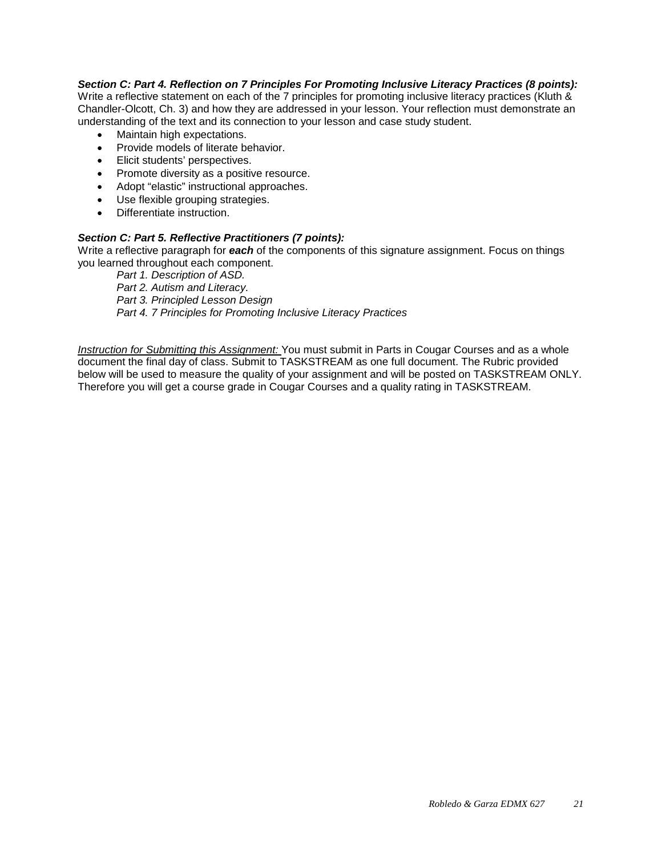## *Section C: Part 4. Reflection on 7 Principles For Promoting Inclusive Literacy Practices (8 points):*

Write a reflective statement on each of the 7 principles for promoting inclusive literacy practices (Kluth & Chandler-Olcott, Ch. 3) and how they are addressed in your lesson. Your reflection must demonstrate an understanding of the text and its connection to your lesson and case study student.

- Maintain high expectations.
- Provide models of literate behavior.
- Elicit students' perspectives.
- Promote diversity as a positive resource.
- Adopt "elastic" instructional approaches.
- Use flexible grouping strategies.
- Differentiate instruction.

## *Section C: Part 5. Reflective Practitioners (7 points):*

Write a reflective paragraph for *each* of the components of this signature assignment. Focus on things you learned throughout each component.

*Part 1. Description of ASD. Part 2. Autism and Literacy. Part 3. Principled Lesson Design Part 4. 7 Principles for Promoting Inclusive Literacy Practices*

*Instruction for Submitting this Assignment:* You must submit in Parts in Cougar Courses and as a whole document the final day of class. Submit to TASKSTREAM as one full document. The Rubric provided below will be used to measure the quality of your assignment and will be posted on TASKSTREAM ONLY. Therefore you will get a course grade in Cougar Courses and a quality rating in TASKSTREAM.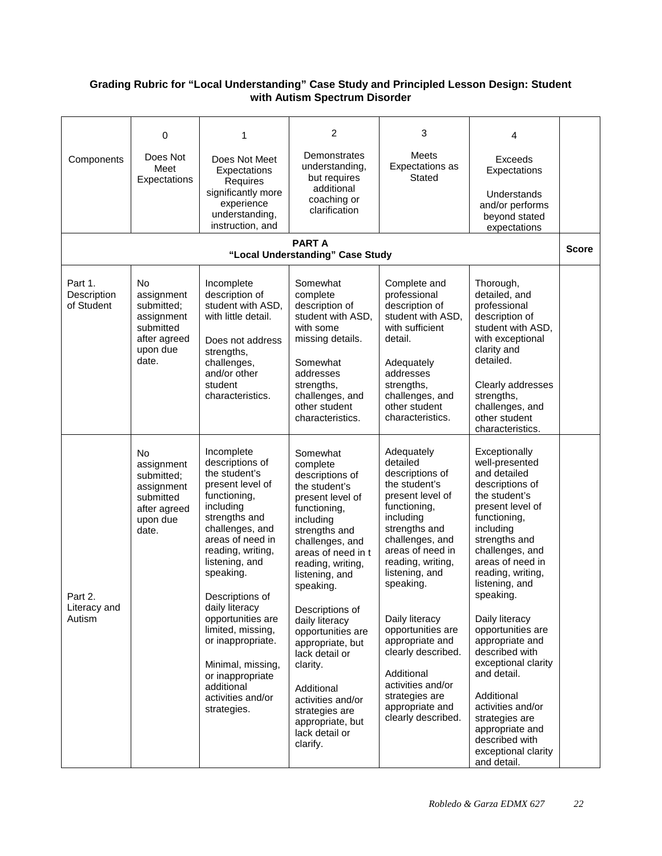## <span id="page-21-0"></span>**Grading Rubric for "Local Understanding" Case Study and Principled Lesson Design: Student with Autism Spectrum Disorder**

|                                      | 0                                                                                                     | 1                                                                                                                                                                                                                                                                                                                                                                                                          | 2                                                                                                                                                                                                                                                                                                                                                                                                                                          | 3                                                                                                                                                                                                                                                                                                                                                                                                     | 4                                                                                                                                                                                                                                                                                                                                                                                                                                                                                                  |              |
|--------------------------------------|-------------------------------------------------------------------------------------------------------|------------------------------------------------------------------------------------------------------------------------------------------------------------------------------------------------------------------------------------------------------------------------------------------------------------------------------------------------------------------------------------------------------------|--------------------------------------------------------------------------------------------------------------------------------------------------------------------------------------------------------------------------------------------------------------------------------------------------------------------------------------------------------------------------------------------------------------------------------------------|-------------------------------------------------------------------------------------------------------------------------------------------------------------------------------------------------------------------------------------------------------------------------------------------------------------------------------------------------------------------------------------------------------|----------------------------------------------------------------------------------------------------------------------------------------------------------------------------------------------------------------------------------------------------------------------------------------------------------------------------------------------------------------------------------------------------------------------------------------------------------------------------------------------------|--------------|
| Components                           | Does Not<br>Meet<br>Expectations                                                                      | Does Not Meet<br>Expectations<br>Requires<br>significantly more                                                                                                                                                                                                                                                                                                                                            | Demonstrates<br>understanding,<br>but requires<br>additional                                                                                                                                                                                                                                                                                                                                                                               | <b>Meets</b><br>Expectations as<br>Stated                                                                                                                                                                                                                                                                                                                                                             | Exceeds<br>Expectations<br>Understands                                                                                                                                                                                                                                                                                                                                                                                                                                                             |              |
|                                      |                                                                                                       | experience<br>understanding,<br>instruction, and                                                                                                                                                                                                                                                                                                                                                           | coaching or<br>clarification                                                                                                                                                                                                                                                                                                                                                                                                               |                                                                                                                                                                                                                                                                                                                                                                                                       | and/or performs<br>beyond stated<br>expectations                                                                                                                                                                                                                                                                                                                                                                                                                                                   |              |
|                                      |                                                                                                       |                                                                                                                                                                                                                                                                                                                                                                                                            | <b>PARTA</b><br>"Local Understanding" Case Study                                                                                                                                                                                                                                                                                                                                                                                           |                                                                                                                                                                                                                                                                                                                                                                                                       |                                                                                                                                                                                                                                                                                                                                                                                                                                                                                                    | <b>Score</b> |
| Part 1.<br>Description<br>of Student | No<br>assignment<br>submitted;<br>assignment<br>submitted<br>after agreed<br>upon due<br>date.        | Incomplete<br>description of<br>student with ASD,<br>with little detail.<br>Does not address<br>strengths,<br>challenges,<br>and/or other<br>student<br>characteristics.                                                                                                                                                                                                                                   | Somewhat<br>complete<br>description of<br>student with ASD,<br>with some<br>missing details.<br>Somewhat<br>addresses<br>strengths,<br>challenges, and<br>other student<br>characteristics.                                                                                                                                                                                                                                                | Complete and<br>professional<br>description of<br>student with ASD,<br>with sufficient<br>detail.<br>Adequately<br>addresses<br>strengths,<br>challenges, and<br>other student<br>characteristics.                                                                                                                                                                                                    | Thorough,<br>detailed, and<br>professional<br>description of<br>student with ASD,<br>with exceptional<br>clarity and<br>detailed.<br>Clearly addresses<br>strengths,<br>challenges, and<br>other student<br>characteristics.                                                                                                                                                                                                                                                                       |              |
| Part 2<br>Literacy and<br>Autism     | <b>No</b><br>assignment<br>submitted;<br>assignment<br>submitted<br>after agreed<br>upon due<br>date. | Incomplete<br>descriptions of<br>the student's<br>present level of<br>functioning,<br>including<br>strengths and<br>challenges, and<br>areas of need in<br>reading, writing,<br>listening, and<br>speaking.<br>Descriptions of<br>daily literacy<br>opportunities are<br>limited, missing,<br>or inappropriate.<br>Minimal, missing,<br>or inappropriate<br>additional<br>activities and/or<br>strategies. | Somewhat<br>complete<br>descriptions of<br>the student's<br>present level of<br>functioning,<br>including<br>strengths and<br>challenges, and<br>areas of need in t<br>reading, writing,<br>listening, and<br>speaking.<br>Descriptions of<br>daily literacy<br>opportunities are<br>appropriate, but<br>lack detail or<br>clarity.<br>Additional<br>activities and/or<br>strategies are<br>appropriate, but<br>lack detail or<br>clarify. | Adequately<br>detailed<br>descriptions of<br>the student's<br>present level of<br>functioning,<br>including<br>strengths and<br>challenges, and<br>areas of need in<br>reading, writing,<br>listening, and<br>speaking.<br>Daily literacy<br>opportunities are<br>appropriate and<br>clearly described.<br>Additional<br>activities and/or<br>strategies are<br>appropriate and<br>clearly described. | Exceptionally<br>well-presented<br>and detailed<br>descriptions of<br>the student's<br>present level of<br>functioning,<br>including<br>strengths and<br>challenges, and<br>areas of need in<br>reading, writing,<br>listening, and<br>speaking.<br>Daily literacy<br>opportunities are<br>appropriate and<br>described with<br>exceptional clarity<br>and detail.<br>Additional<br>activities and/or<br>strategies are<br>appropriate and<br>described with<br>exceptional clarity<br>and detail. |              |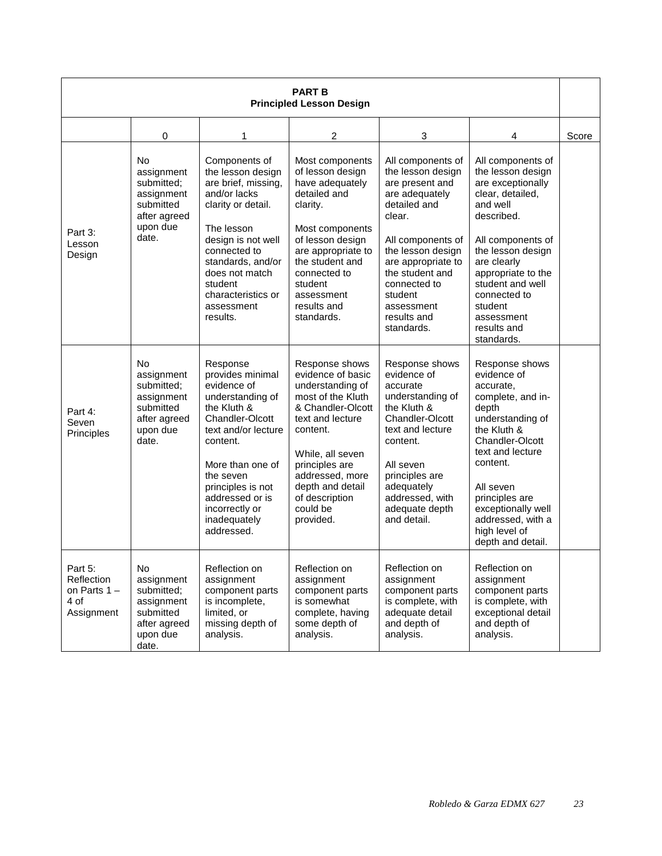| <b>PART B</b><br><b>Principled Lesson Design</b>              |                                                                                                       |                                                                                                                                                                                                                                                               |                                                                                                                                                                                                                                                           |                                                                                                                                                                                                                                                                |                                                                                                                                                                                                                                                                                    |       |
|---------------------------------------------------------------|-------------------------------------------------------------------------------------------------------|---------------------------------------------------------------------------------------------------------------------------------------------------------------------------------------------------------------------------------------------------------------|-----------------------------------------------------------------------------------------------------------------------------------------------------------------------------------------------------------------------------------------------------------|----------------------------------------------------------------------------------------------------------------------------------------------------------------------------------------------------------------------------------------------------------------|------------------------------------------------------------------------------------------------------------------------------------------------------------------------------------------------------------------------------------------------------------------------------------|-------|
|                                                               | 0                                                                                                     | 1                                                                                                                                                                                                                                                             | $\overline{c}$                                                                                                                                                                                                                                            | 3                                                                                                                                                                                                                                                              | 4                                                                                                                                                                                                                                                                                  | Score |
| Part 3:<br>Lesson<br>Design                                   | <b>No</b><br>assignment<br>submitted;<br>assignment<br>submitted<br>after agreed<br>upon due<br>date. | Components of<br>the lesson design<br>are brief, missing,<br>and/or lacks<br>clarity or detail.<br>The lesson<br>design is not well<br>connected to<br>standards, and/or<br>does not match<br>student<br>characteristics or<br>assessment<br>results.         | Most components<br>of lesson design<br>have adequately<br>detailed and<br>clarity.<br>Most components<br>of lesson design<br>are appropriate to<br>the student and<br>connected to<br>student<br>assessment<br>results and<br>standards.                  | All components of<br>the lesson design<br>are present and<br>are adequately<br>detailed and<br>clear.<br>All components of<br>the lesson design<br>are appropriate to<br>the student and<br>connected to<br>student<br>assessment<br>results and<br>standards. | All components of<br>the lesson design<br>are exceptionally<br>clear, detailed,<br>and well<br>described.<br>All components of<br>the lesson design<br>are clearly<br>appropriate to the<br>student and well<br>connected to<br>student<br>assessment<br>results and<br>standards. |       |
| Part 4:<br>Seven<br>Principles                                | <b>No</b><br>assignment<br>submitted;<br>assignment<br>submitted<br>after agreed<br>upon due<br>date. | Response<br>provides minimal<br>evidence of<br>understanding of<br>the Kluth &<br>Chandler-Olcott<br>text and/or lecture<br>content.<br>More than one of<br>the seven<br>principles is not<br>addressed or is<br>incorrectly or<br>inadequately<br>addressed. | Response shows<br>evidence of basic<br>understanding of<br>most of the Kluth<br>& Chandler-Olcott<br>text and lecture<br>content.<br>While, all seven<br>principles are<br>addressed, more<br>depth and detail<br>of description<br>could be<br>provided. | Response shows<br>evidence of<br>accurate<br>understanding of<br>the Kluth &<br>Chandler-Olcott<br>text and lecture<br>content.<br>All seven<br>principles are<br>adequately<br>addressed, with<br>adequate depth<br>and detail.                               | Response shows<br>evidence of<br>accurate,<br>complete, and in-<br>depth<br>understanding of<br>the Kluth &<br>Chandler-Olcott<br>text and lecture<br>content.<br>All seven<br>principles are<br>exceptionally well<br>addressed, with a<br>high level of<br>depth and detail.     |       |
| Part 5:<br>Reflection<br>on Parts $1 -$<br>4 of<br>Assignment | No<br>assignment<br>submitted;<br>assignment<br>submitted<br>after agreed<br>upon due<br>date.        | Reflection on<br>assignment<br>component parts<br>is incomplete,<br>limited, or<br>missing depth of<br>analysis.                                                                                                                                              | Reflection on<br>assignment<br>component parts<br>is somewhat<br>complete, having<br>some depth of<br>analysis.                                                                                                                                           | Reflection on<br>assignment<br>component parts<br>is complete, with<br>adequate detail<br>and depth of<br>analysis.                                                                                                                                            | Reflection on<br>assignment<br>component parts<br>is complete, with<br>exceptional detail<br>and depth of<br>analysis.                                                                                                                                                             |       |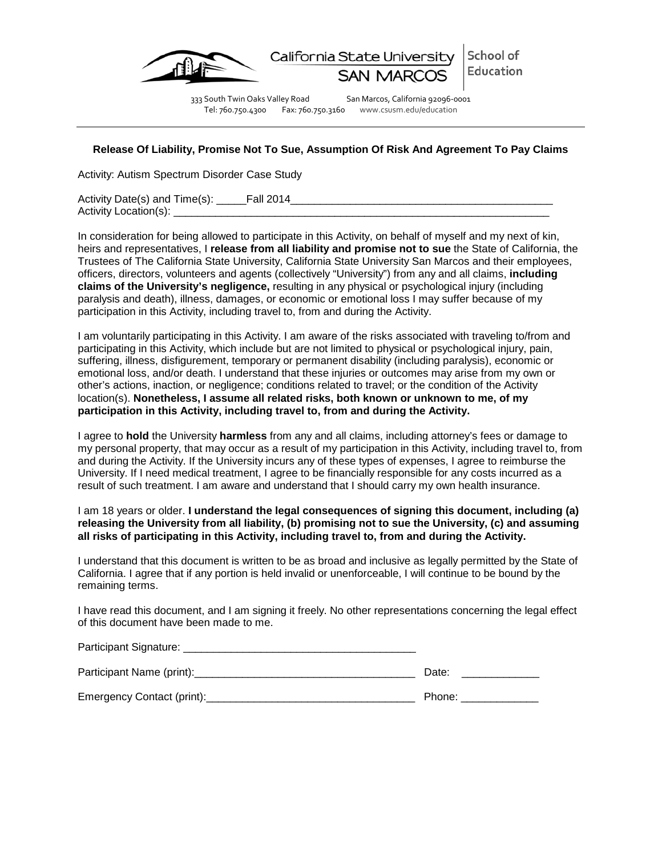

333 South Twin Oaks Valley Road San Marcos, California 92096-0001 Tel: 760.750.4300 Fax: 760.750.3160 www.csusm.edu/education

School of

Education

## <span id="page-23-0"></span>**Release Of Liability, Promise Not To Sue, Assumption Of Risk And Agreement To Pay Claims**

Activity: Autism Spectrum Disorder Case Study

Activity Date(s) and Time(s): Fall 2014 Activity Location(s):

In consideration for being allowed to participate in this Activity, on behalf of myself and my next of kin, heirs and representatives, I **release from all liability and promise not to sue** the State of California, the Trustees of The California State University, California State University San Marcos and their employees, officers, directors, volunteers and agents (collectively "University") from any and all claims, **including claims of the University's negligence,** resulting in any physical or psychological injury (including paralysis and death), illness, damages, or economic or emotional loss I may suffer because of my participation in this Activity, including travel to, from and during the Activity.

I am voluntarily participating in this Activity. I am aware of the risks associated with traveling to/from and participating in this Activity, which include but are not limited to physical or psychological injury, pain, suffering, illness, disfigurement, temporary or permanent disability (including paralysis), economic or emotional loss, and/or death. I understand that these injuries or outcomes may arise from my own or other's actions, inaction, or negligence; conditions related to travel; or the condition of the Activity location(s). **Nonetheless, I assume all related risks, both known or unknown to me, of my participation in this Activity, including travel to, from and during the Activity.**

I agree to **hold** the University **harmless** from any and all claims, including attorney's fees or damage to my personal property, that may occur as a result of my participation in this Activity, including travel to, from and during the Activity. If the University incurs any of these types of expenses, I agree to reimburse the University. If I need medical treatment, I agree to be financially responsible for any costs incurred as a result of such treatment. I am aware and understand that I should carry my own health insurance.

I am 18 years or older. **I understand the legal consequences of signing this document, including (a) releasing the University from all liability, (b) promising not to sue the University, (c) and assuming all risks of participating in this Activity, including travel to, from and during the Activity.**

I understand that this document is written to be as broad and inclusive as legally permitted by the State of California. I agree that if any portion is held invalid or unenforceable, I will continue to be bound by the remaining terms.

I have read this document, and I am signing it freely. No other representations concerning the legal effect of this document have been made to me.

| Participant Signature: Management Signature: Management Signature: Management Signature: Management Signature |        |
|---------------------------------------------------------------------------------------------------------------|--------|
| Participant Name (print):                                                                                     | Date:  |
| Emergency Contact (print):                                                                                    | Phone: |